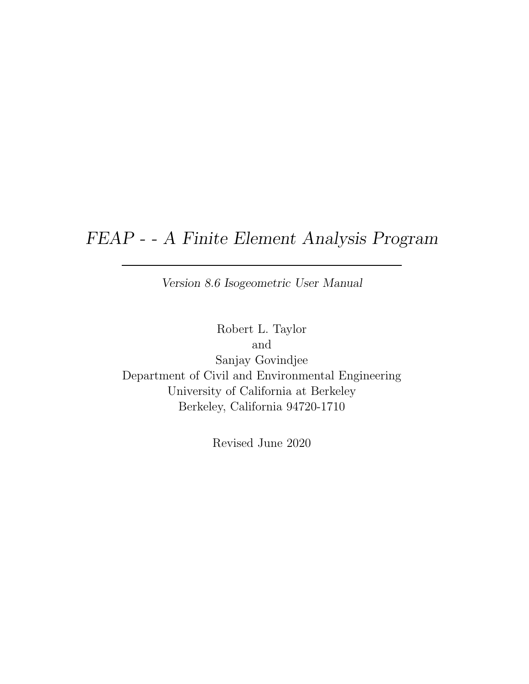# FEAP - - A Finite Element Analysis Program

Version 8.6 Isogeometric User Manual

Robert L. Taylor and Sanjay Govindjee Department of Civil and Environmental Engineering University of California at Berkeley Berkeley, California 94720-1710

Revised June 2020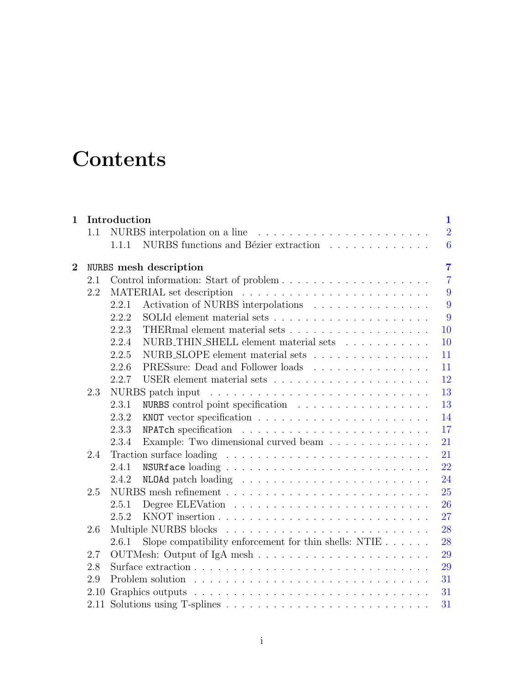# **Contents**

| $\mathbf{1}$   |         | Introduction<br>$\mathbf 1$   |                                                                               |  |  |                |                |  |  |  |  |
|----------------|---------|-------------------------------|-------------------------------------------------------------------------------|--|--|----------------|----------------|--|--|--|--|
|                | 1.1     | NURBS interpolation on a line |                                                                               |  |  | $\overline{2}$ |                |  |  |  |  |
|                |         | 1.1.1                         | NURBS functions and Bézier extraction                                         |  |  |                | $\overline{6}$ |  |  |  |  |
| $\overline{2}$ |         |                               | <b>NURBS</b> mesh description                                                 |  |  |                | $\overline{7}$ |  |  |  |  |
|                | 2.1     |                               |                                                                               |  |  |                | $\overline{7}$ |  |  |  |  |
|                | 2.2     |                               |                                                                               |  |  |                | 9              |  |  |  |  |
|                |         | 2.2.1                         | Activation of NURBS interpolations                                            |  |  |                | 9              |  |  |  |  |
|                |         | 2.2.2                         |                                                                               |  |  |                | 9              |  |  |  |  |
|                |         | 2.2.3                         |                                                                               |  |  |                | 10             |  |  |  |  |
|                |         | 2.2.4                         | NURB_THIN_SHELL element material sets                                         |  |  |                | 10             |  |  |  |  |
|                |         | 2.2.5                         | NURB_SLOPE element material sets                                              |  |  |                | 11             |  |  |  |  |
|                |         | 2.2.6                         | PRESsure: Dead and Follower loads                                             |  |  |                | 11             |  |  |  |  |
|                |         | 2.2.7                         |                                                                               |  |  |                | 12             |  |  |  |  |
|                | 2.3     |                               |                                                                               |  |  |                | 13             |  |  |  |  |
|                |         | 2.3.1                         | NURBS control point specification                                             |  |  |                | 13             |  |  |  |  |
|                |         | 2.3.2                         |                                                                               |  |  |                | 14             |  |  |  |  |
|                |         | 2.3.3                         |                                                                               |  |  |                | 17             |  |  |  |  |
|                |         | 2.3.4                         | Example: Two dimensional curved beam                                          |  |  |                | 21             |  |  |  |  |
|                | 2.4     |                               |                                                                               |  |  |                | 21             |  |  |  |  |
|                |         | 2.4.1                         |                                                                               |  |  |                | 22             |  |  |  |  |
|                |         | 2.4.2                         | NLOAd patch loading $\ldots \ldots \ldots \ldots \ldots \ldots \ldots \ldots$ |  |  |                | 24             |  |  |  |  |
|                | 2.5     |                               |                                                                               |  |  |                | 25             |  |  |  |  |
|                |         | 2.5.1                         |                                                                               |  |  |                | 26             |  |  |  |  |
|                |         | 2.5.2                         |                                                                               |  |  |                | 27             |  |  |  |  |
|                | $2.6\,$ |                               |                                                                               |  |  |                | 28             |  |  |  |  |
|                |         | 2.6.1                         | Slope compatibility enforcement for thin shells: NTIE $\dots \dots$           |  |  |                | 28             |  |  |  |  |
|                | 2.7     |                               |                                                                               |  |  |                | 29             |  |  |  |  |
|                | 2.8     |                               |                                                                               |  |  |                | 29             |  |  |  |  |
|                | 2.9     |                               |                                                                               |  |  |                | 31             |  |  |  |  |
|                | 2.10    |                               |                                                                               |  |  |                | 31             |  |  |  |  |
|                |         |                               |                                                                               |  |  |                | 31             |  |  |  |  |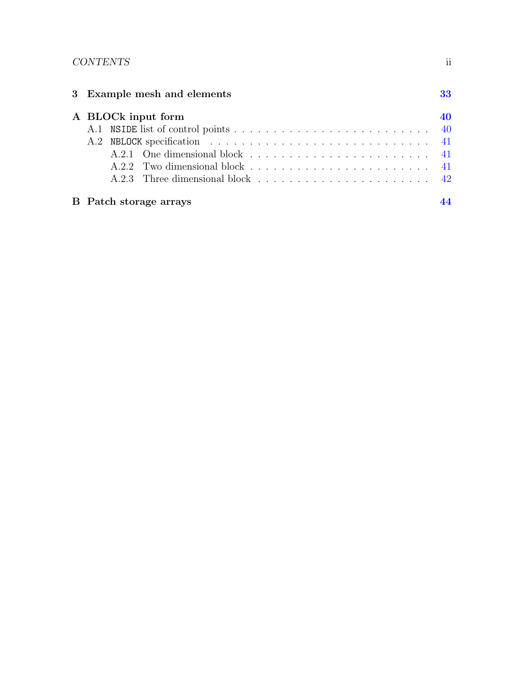## CONTENTS ii

| 3 Example mesh and elements<br>33 |  |                               |    |  |  |  |  |
|-----------------------------------|--|-------------------------------|----|--|--|--|--|
|                                   |  | A BLOCk input form            | 40 |  |  |  |  |
|                                   |  |                               |    |  |  |  |  |
|                                   |  |                               |    |  |  |  |  |
|                                   |  |                               |    |  |  |  |  |
|                                   |  |                               |    |  |  |  |  |
|                                   |  |                               |    |  |  |  |  |
|                                   |  | <b>B</b> Patch storage arrays |    |  |  |  |  |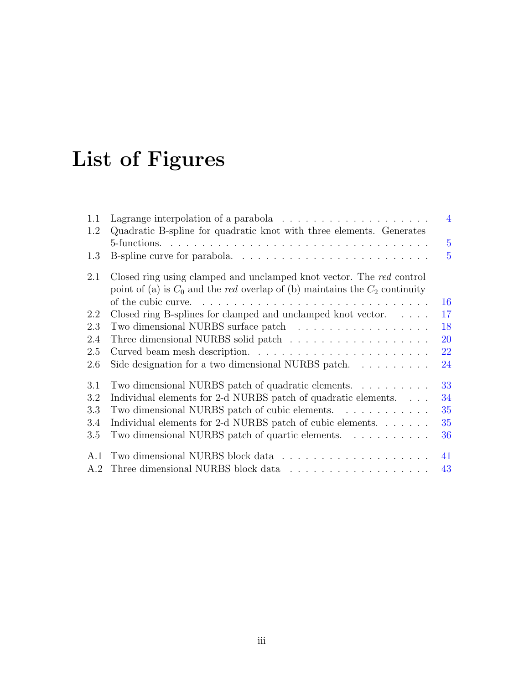# List of Figures

| Lagrange interpolation of a parabola $\ldots \ldots \ldots \ldots \ldots \ldots$                               | $\overline{4}$                                                                                                                                                            |
|----------------------------------------------------------------------------------------------------------------|---------------------------------------------------------------------------------------------------------------------------------------------------------------------------|
| Quadratic B-spline for quadratic knot with three elements. Generates                                           |                                                                                                                                                                           |
|                                                                                                                | $\overline{5}$                                                                                                                                                            |
|                                                                                                                | $\overline{5}$                                                                                                                                                            |
| Closed ring using clamped and unclamped knot vector. The red control                                           |                                                                                                                                                                           |
| of the cubic curve. $\dots \dots \dots \dots \dots \dots \dots \dots \dots \dots \dots \dots$                  | 16                                                                                                                                                                        |
| Closed ring B-splines for clamped and unclamped knot vector. $\ldots$ .                                        | 17                                                                                                                                                                        |
|                                                                                                                | 18                                                                                                                                                                        |
|                                                                                                                | 20                                                                                                                                                                        |
|                                                                                                                | 22                                                                                                                                                                        |
| Side designation for a two dimensional NURBS patch.                                                            | 24                                                                                                                                                                        |
| Two dimensional NURBS patch of quadratic elements.                                                             | 33                                                                                                                                                                        |
| Individual elements for 2-d NURBS patch of quadratic elements.                                                 | 34                                                                                                                                                                        |
| Two dimensional NURBS patch of cubic elements.                                                                 | 35                                                                                                                                                                        |
| Individual elements for 2-d NURBS patch of cubic elements.                                                     | 35                                                                                                                                                                        |
| Two dimensional NURBS patch of quartic elements.                                                               | 36                                                                                                                                                                        |
| A.1                                                                                                            | 41                                                                                                                                                                        |
| Three dimensional NURBS block data $\hfill\ldots\ldots\ldots\ldots\ldots\ldots\ldots\ldots\ldots\ldots$<br>A.2 | 43                                                                                                                                                                        |
|                                                                                                                | point of (a) is $C_0$ and the <i>red</i> overlap of (b) maintains the $C_2$ continuity<br>Two dimensional NURBS surface patch $\ldots \ldots \ldots \ldots \ldots \ldots$ |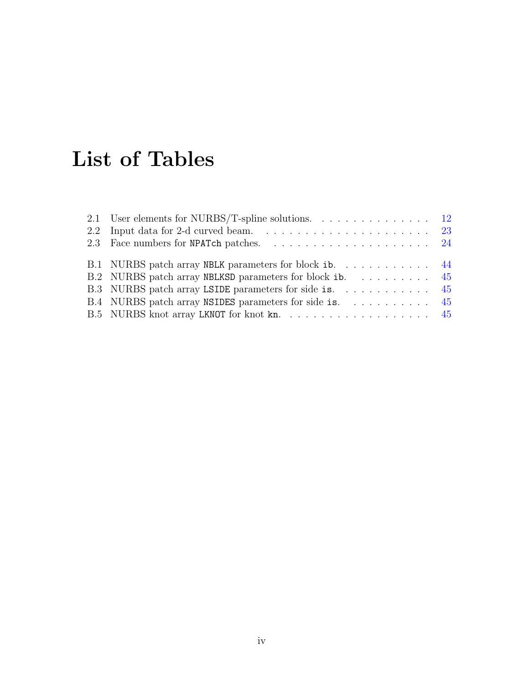# List of Tables

| 2.1 User elements for NURBS/T-spline solutions. $\ldots \ldots \ldots \ldots \ldots$ 12 |  |
|-----------------------------------------------------------------------------------------|--|
| 2.2 Input data for 2-d curved beam. $\ldots \ldots \ldots \ldots \ldots \ldots$ 23      |  |
|                                                                                         |  |
| B.1 NURBS patch array NBLK parameters for block ib. 44                                  |  |
| B.2 NURBS patch array NBLKSD parameters for block ib. 45                                |  |
|                                                                                         |  |
| B.4 NURBS patch array NSIDES parameters for side is.  45                                |  |
|                                                                                         |  |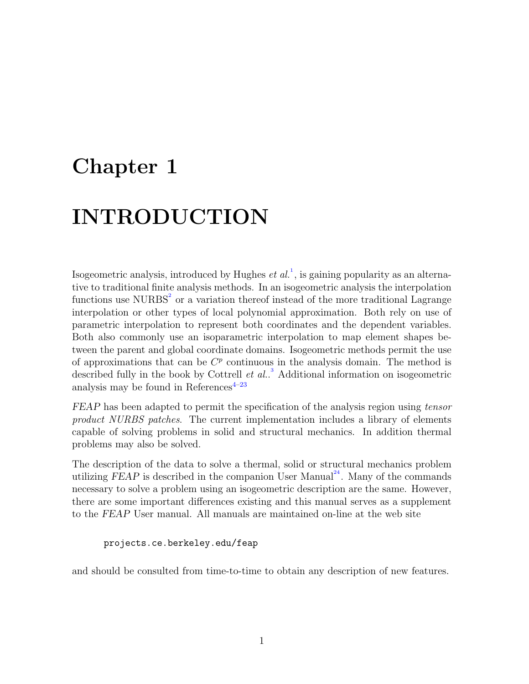# <span id="page-5-0"></span>Chapter 1

# INTRODUCTION

Isogeometric analysis, introduced by Hughes  $et al.^{1}$  $et al.^{1}$  $et al.^{1}$ , is gaining popularity as an alternative to traditional finite analysis methods. In an isogeometric analysis the interpolation functions use  $\text{NURBS}^2$  $\text{NURBS}^2$  or a variation thereof instead of the more traditional Lagrange interpolation or other types of local polynomial approximation. Both rely on use of parametric interpolation to represent both coordinates and the dependent variables. Both also commonly use an isoparametric interpolation to map element shapes between the parent and global coordinate domains. Isogeometric methods permit the use of approximations that can be  $C^p$  continuous in the analysis domain. The method is described fully in the book by Cottrell  $et al.^{3}$  $et al.^{3}$  $et al.^{3}$  Additional information on isogeometric analysis may be found in References $4-23$  $4-23$ 

FEAP has been adapted to permit the specification of the analysis region using tensor product NURBS patches. The current implementation includes a library of elements capable of solving problems in solid and structural mechanics. In addition thermal problems may also be solved.

The description of the data to solve a thermal, solid or structural mechanics problem utilizing FEAP is described in the companion User Manual<sup>[24](#page-43-1)</sup>. Many of the commands necessary to solve a problem using an isogeometric description are the same. However, there are some important differences existing and this manual serves as a supplement to the FEAP User manual. All manuals are maintained on-line at the web site

projects.ce.berkeley.edu/feap

and should be consulted from time-to-time to obtain any description of new features.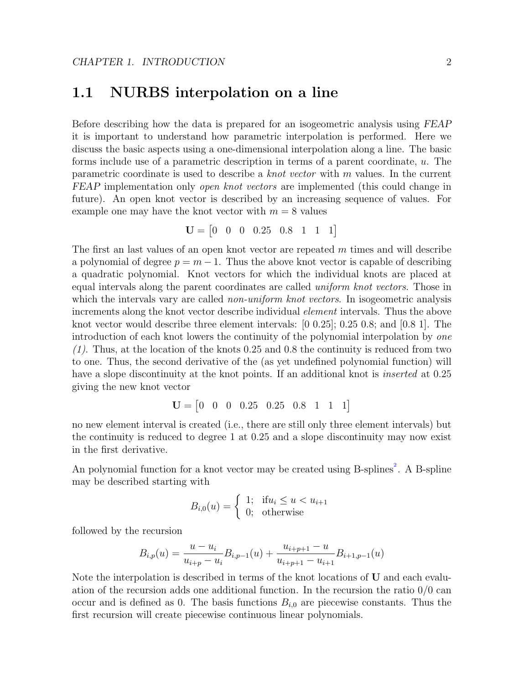## <span id="page-6-0"></span>1.1 NURBS interpolation on a line

Before describing how the data is prepared for an isogeometric analysis using FEAP it is important to understand how parametric interpolation is performed. Here we discuss the basic aspects using a one-dimensional interpolation along a line. The basic forms include use of a parametric description in terms of a parent coordinate, u. The parametric coordinate is used to describe a knot vector with m values. In the current FEAP implementation only *open knot vectors* are implemented (this could change in future). An open knot vector is described by an increasing sequence of values. For example one may have the knot vector with  $m = 8$  values

$$
\mathbf{U} = \begin{bmatrix} 0 & 0 & 0 & 0.25 & 0.8 & 1 & 1 & 1 \end{bmatrix}
$$

The first an last values of an open knot vector are repeated m times and will describe a polynomial of degree  $p = m - 1$ . Thus the above knot vector is capable of describing a quadratic polynomial. Knot vectors for which the individual knots are placed at equal intervals along the parent coordinates are called *uniform knot vectors*. Those in which the intervals vary are called *non-uniform knot vectors*. In isogeometric analysis increments along the knot vector describe individual element intervals. Thus the above knot vector would describe three element intervals: [0 0.25]; 0.25 0.8; and [0.8 1]. The introduction of each knot lowers the continuity of the polynomial interpolation by one  $(1)$ . Thus, at the location of the knots 0.25 and 0.8 the continuity is reduced from two to one. Thus, the second derivative of the (as yet undefined polynomial function) will have a slope discontinuity at the knot points. If an additional knot is *inserted* at 0.25 giving the new knot vector

$$
\mathbf{U} = \begin{bmatrix} 0 & 0 & 0 & 0.25 & 0.25 & 0.8 & 1 & 1 & 1 \end{bmatrix}
$$

no new element interval is created (i.e., there are still only three element intervals) but the continuity is reduced to degree 1 at 0.25 and a slope discontinuity may now exist in the first derivative.

An polynomial function for a knot vector may be created using B-splines<sup>[2](#page-41-1)</sup>. A B-spline may be described starting with

$$
B_{i,0}(u) = \begin{cases} 1; & \text{if } u_i \le u < u_{i+1} \\ 0; & \text{otherwise} \end{cases}
$$

followed by the recursion

$$
B_{i,p}(u) = \frac{u - u_i}{u_{i+p} - u_i} B_{i,p-1}(u) + \frac{u_{i+p+1} - u}{u_{i+p+1} - u_{i+1}} B_{i+1,p-1}(u)
$$

Note the interpolation is described in terms of the knot locations of  **and each evalu**ation of the recursion adds one additional function. In the recursion the ratio 0/0 can occur and is defined as 0. The basis functions  $B_{i,0}$  are piecewise constants. Thus the first recursion will create piecewise continuous linear polynomials.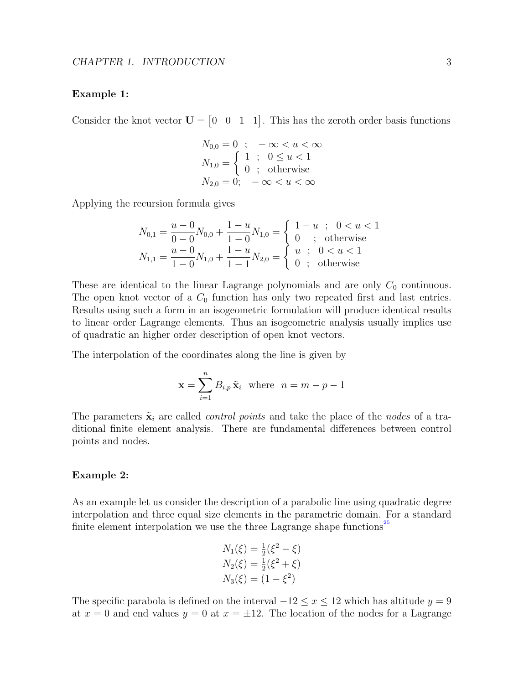#### Example 1:

Consider the knot vector  $U = \begin{bmatrix} 0 & 0 & 1 & 1 \end{bmatrix}$ . This has the zeroth order basis functions

$$
N_{0,0} = 0 \; ; \; -\infty < u < \infty
$$
  
\n
$$
N_{1,0} = \begin{cases} 1 \; ; \; 0 \le u < 1 \\ 0 \; ; \; \text{otherwise} \end{cases}
$$
  
\n
$$
N_{2,0} = 0; \; -\infty < u < \infty
$$

Applying the recursion formula gives

$$
N_{0,1} = \frac{u-0}{0-0} N_{0,0} + \frac{1-u}{1-0} N_{1,0} = \begin{cases} 1-u; & 0 < u < 1\\ 0; & \text{otherwise} \end{cases}
$$
  

$$
N_{1,1} = \frac{u-0}{1-0} N_{1,0} + \frac{1-u}{1-1} N_{2,0} = \begin{cases} u; & 0 < u < 1\\ u; & 0 < u < 1\\ 0; & \text{otherwise} \end{cases}
$$

These are identical to the linear Lagrange polynomials and are only  $C_0$  continuous. The open knot vector of a  $C_0$  function has only two repeated first and last entries. Results using such a form in an isogeometric formulation will produce identical results to linear order Lagrange elements. Thus an isogeometric analysis usually implies use of quadratic an higher order description of open knot vectors.

The interpolation of the coordinates along the line is given by

$$
\mathbf{x} = \sum_{i=1}^{n} B_{i,p} \tilde{\mathbf{x}}_i \text{ where } n = m - p - 1
$$

The parameters  $\tilde{\mathbf{x}}_i$  are called *control points* and take the place of the *nodes* of a traditional finite element analysis. There are fundamental differences between control points and nodes.

#### Example 2:

As an example let us consider the description of a parabolic line using quadratic degree interpolation and three equal size elements in the parametric domain. For a standard finite element interpolation we use the three Lagrange shape functions<sup>[25](#page-43-2)</sup>

$$
N_1(\xi) = \frac{1}{2}(\xi^2 - \xi)
$$
  
\n
$$
N_2(\xi) = \frac{1}{2}(\xi^2 + \xi)
$$
  
\n
$$
N_3(\xi) = (1 - \xi^2)
$$

The specific parabola is defined on the interval  $-12 \le x \le 12$  which has altitude  $y = 9$ at  $x = 0$  and end values  $y = 0$  at  $x = \pm 12$ . The location of the nodes for a Lagrange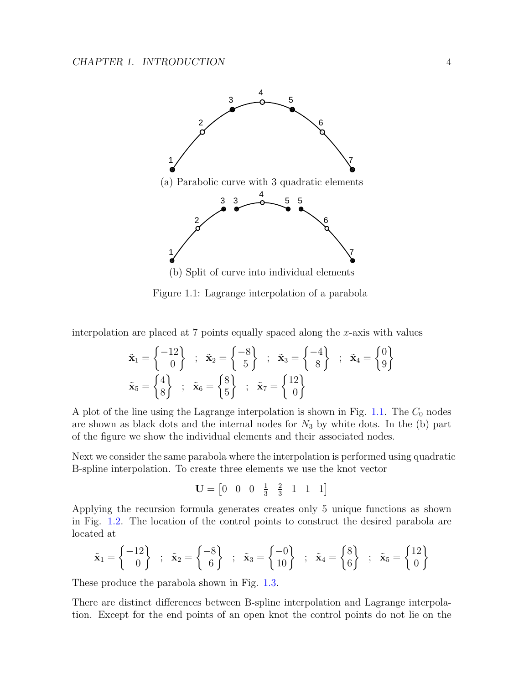

<span id="page-8-0"></span>(b) Split of curve into individual elements

Figure 1.1: Lagrange interpolation of a parabola

interpolation are placed at  $7$  points equally spaced along the  $x$ -axis with values

$$
\tilde{\mathbf{x}}_1 = \begin{Bmatrix} -12 \\ 0 \end{Bmatrix} ; \quad \tilde{\mathbf{x}}_2 = \begin{Bmatrix} -8 \\ 5 \end{Bmatrix} ; \quad \tilde{\mathbf{x}}_3 = \begin{Bmatrix} -4 \\ 8 \end{Bmatrix} ; \quad \tilde{\mathbf{x}}_4 = \begin{Bmatrix} 0 \\ 9 \end{Bmatrix}
$$
\n
$$
\tilde{\mathbf{x}}_5 = \begin{Bmatrix} 4 \\ 8 \end{Bmatrix} ; \quad \tilde{\mathbf{x}}_6 = \begin{Bmatrix} 8 \\ 5 \end{Bmatrix} ; \quad \tilde{\mathbf{x}}_7 = \begin{Bmatrix} 12 \\ 0 \end{Bmatrix}
$$

A plot of the line using the Lagrange interpolation is shown in Fig. [1.1.](#page-8-0) The  $C_0$  nodes are shown as black dots and the internal nodes for  $N_3$  by white dots. In the (b) part of the figure we show the individual elements and their associated nodes.

Next we consider the same parabola where the interpolation is performed using quadratic B-spline interpolation. To create three elements we use the knot vector

$$
\mathbf{U} = \begin{bmatrix} 0 & 0 & 0 & \frac{1}{3} & \frac{2}{3} & 1 & 1 & 1 \end{bmatrix}
$$

Applying the recursion formula generates creates only 5 unique functions as shown in Fig. [1.2.](#page-9-0) The location of the control points to construct the desired parabola are located at

$$
\tilde{\mathbf{x}}_1 = \begin{Bmatrix} -12 \\ 0 \end{Bmatrix} ; \quad \tilde{\mathbf{x}}_2 = \begin{Bmatrix} -8 \\ 6 \end{Bmatrix} ; \quad \tilde{\mathbf{x}}_3 = \begin{Bmatrix} -0 \\ 10 \end{Bmatrix} ; \quad \tilde{\mathbf{x}}_4 = \begin{Bmatrix} 8 \\ 6 \end{Bmatrix} ; \quad \tilde{\mathbf{x}}_5 = \begin{Bmatrix} 12 \\ 0 \end{Bmatrix}
$$

These produce the parabola shown in Fig. [1.3.](#page-9-1)

There are distinct differences between B-spline interpolation and Lagrange interpolation. Except for the end points of an open knot the control points do not lie on the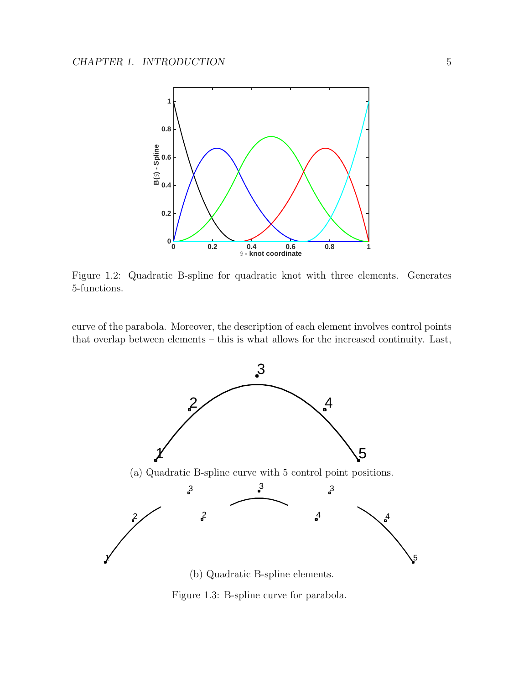

<span id="page-9-0"></span>Figure 1.2: Quadratic B-spline for quadratic knot with three elements. Generates 5-functions.

curve of the parabola. Moreover, the description of each element involves control points that overlap between elements – this is what allows for the increased continuity. Last,



<span id="page-9-1"></span>Figure 1.3: B-spline curve for parabola.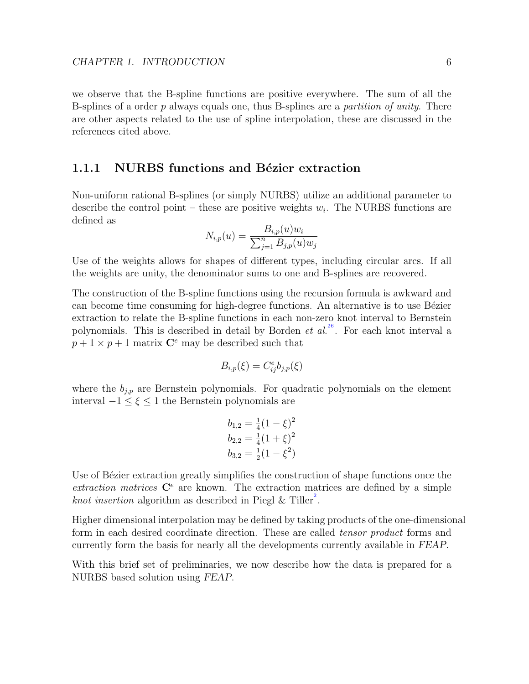we observe that the B-spline functions are positive everywhere. The sum of all the B-splines of a order p always equals one, thus B-splines are a partition of unity. There are other aspects related to the use of spline interpolation, these are discussed in the references cited above.

### <span id="page-10-0"></span>1.1.1 NURBS functions and Bézier extraction

Non-uniform rational B-splines (or simply NURBS) utilize an additional parameter to describe the control point – these are positive weights  $w_i$ . The NURBS functions are defined as

$$
N_{i,p}(u) = \frac{B_{i,p}(u)w_i}{\sum_{j=1}^n B_{j,p}(u)w_j}
$$

Use of the weights allows for shapes of different types, including circular arcs. If all the weights are unity, the denominator sums to one and B-splines are recovered.

The construction of the B-spline functions using the recursion formula is awkward and can become time consuming for high-degree functions. An alternative is to use Bézier extraction to relate the B-spline functions in each non-zero knot interval to Bernstein polynomials. This is described in detail by Borden et  $al^{26}$  $al^{26}$  $al^{26}$ . For each knot interval a  $p + 1 \times p + 1$  matrix  $\mathbb{C}^e$  may be described such that

$$
B_{i,p}(\xi) = C_{ij}^e b_{j,p}(\xi)
$$

where the  $b_{j,p}$  are Bernstein polynomials. For quadratic polynomials on the element interval  $-1 \le \xi \le 1$  the Bernstein polynomials are

$$
b_{1,2} = \frac{1}{4}(1 - \xi)^2
$$
  
\n
$$
b_{2,2} = \frac{1}{4}(1 + \xi)^2
$$
  
\n
$$
b_{3,2} = \frac{1}{2}(1 - \xi^2)
$$

Use of Bézier extraction greatly simplifies the construction of shape functions once the extraction matrices  $\mathbb{C}^e$  are known. The extraction matrices are defined by a simple *knot insertion* algorithm as described in Piegl & Tiller<sup>[2](#page-41-1)</sup>.

Higher dimensional interpolation may be defined by taking products of the one-dimensional form in each desired coordinate direction. These are called *tensor product* forms and currently form the basis for nearly all the developments currently available in FEAP.

With this brief set of preliminaries, we now describe how the data is prepared for a NURBS based solution using FEAP.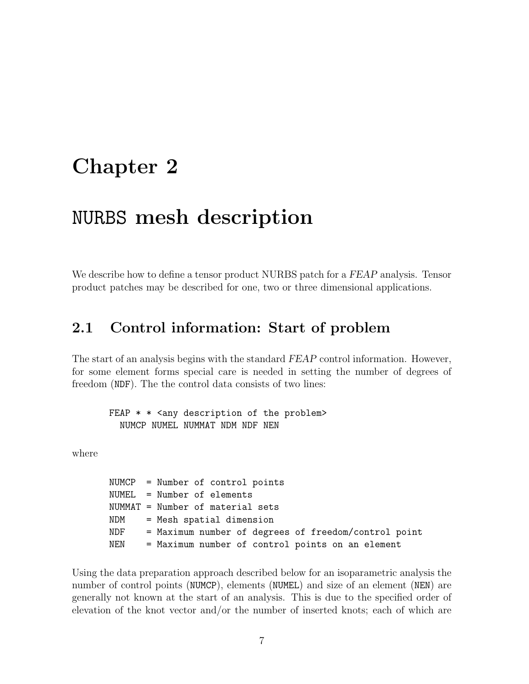# <span id="page-11-0"></span>Chapter 2

## NURBS mesh description

We describe how to define a tensor product NURBS patch for a FEAP analysis. Tensor product patches may be described for one, two or three dimensional applications.

## <span id="page-11-1"></span>2.1 Control information: Start of problem

The start of an analysis begins with the standard FEAP control information. However, for some element forms special care is needed in setting the number of degrees of freedom (NDF). The the control data consists of two lines:

FEAP  $*$   $*$  <any description of the problem> NUMCP NUMEL NUMMAT NDM NDF NEN

where

NUMCP = Number of control points NUMEL = Number of elements NUMMAT = Number of material sets NDM = Mesh spatial dimension NDF = Maximum number of degrees of freedom/control point NEN = Maximum number of control points on an element

Using the data preparation approach described below for an isoparametric analysis the number of control points (NUMCP), elements (NUMEL) and size of an element (NEN) are generally not known at the start of an analysis. This is due to the specified order of elevation of the knot vector and/or the number of inserted knots; each of which are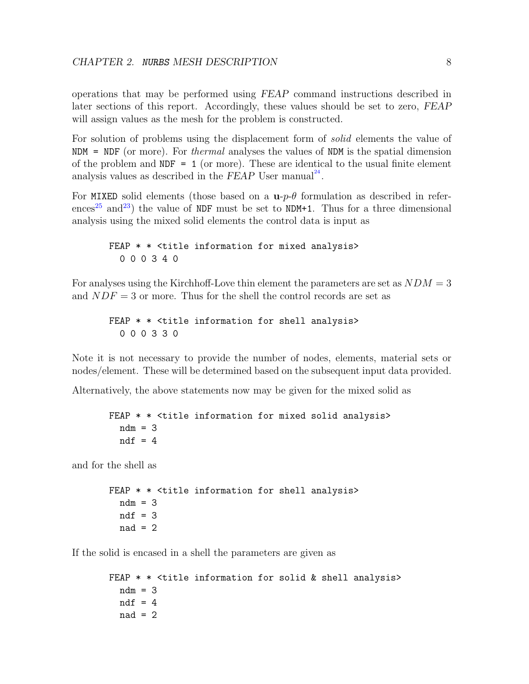operations that may be performed using FEAP command instructions described in later sections of this report. Accordingly, these values should be set to zero, FEAP will assign values as the mesh for the problem is constructed.

For solution of problems using the displacement form of solid elements the value of  $NDM = NDF$  (or more). For *thermal* analyses the values of NDM is the spatial dimension of the problem and  $NDF = 1$  (or more). These are identical to the usual finite element analysis values as described in the  $FEAP$  User manual<sup>[24](#page-43-1)</sup>.

For MIXED solid elements (those based on a  $\mathbf{u}_p$ - $\theta$  formulation as described in refer-ences<sup>[25](#page-43-2)</sup> and<sup>[23](#page-43-0)</sup>) the value of NDF must be set to NDM+1. Thus for a three dimensional analysis using the mixed solid elements the control data is input as

```
FEAP * * <title information for mixed analysis>
  0 0 0 3 4 0
```
For analyses using the Kirchhoff-Love thin element the parameters are set as  $NDM = 3$ and  $NDF = 3$  or more. Thus for the shell the control records are set as

FEAP  $*$   $*$  <title information for shell analysis> 0 0 0 3 3 0

Note it is not necessary to provide the number of nodes, elements, material sets or nodes/element. These will be determined based on the subsequent input data provided.

Alternatively, the above statements now may be given for the mixed solid as

```
FEAP * * <title information for mixed solid analysis>
 ndm = 3ndf = 4
```
and for the shell as

```
FEAP * * <title information for shell analysis>
 ndm = 3ndf = 3nad = 2
```
If the solid is encased in a shell the parameters are given as

```
FEAP * * <title information for solid & shell analysis>
 ndm = 3ndf = 4nad = 2
```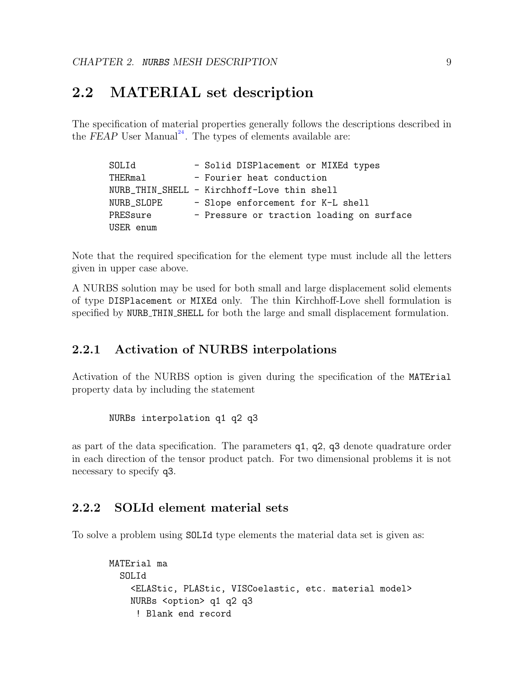## <span id="page-13-0"></span>2.2 MATERIAL set description

The specification of material properties generally follows the descriptions described in the FEAP User Manual<sup>[24](#page-43-1)</sup>. The types of elements available are:

| SOLId      | - Solid DISPlacement or MIXEd types         |
|------------|---------------------------------------------|
| THERmal    | - Fourier heat conduction                   |
|            | NURB_THIN_SHELL - Kirchhoff-Love thin shell |
| NURB_SLOPE | - Slope enforcement for K-L shell           |
| PRESsure   | - Pressure or traction loading on surface   |
| USER enum  |                                             |

Note that the required specification for the element type must include all the letters given in upper case above.

A NURBS solution may be used for both small and large displacement solid elements of type DISPlacement or MIXEd only. The thin Kirchhoff-Love shell formulation is specified by NURB THIN SHELL for both the large and small displacement formulation.

### <span id="page-13-1"></span>2.2.1 Activation of NURBS interpolations

Activation of the NURBS option is given during the specification of the MATErial property data by including the statement

```
NURBs interpolation q1 q2 q3
```
as part of the data specification. The parameters q1, q2, q3 denote quadrature order in each direction of the tensor product patch. For two dimensional problems it is not necessary to specify q3.

### <span id="page-13-2"></span>2.2.2 SOLId element material sets

To solve a problem using SOLId type elements the material data set is given as:

```
MATErial ma
  SOLId
    <ELAStic, PLAStic, VISCoelastic, etc. material model>
    NURBs <option> q1 q2 q3
     ! Blank end record
```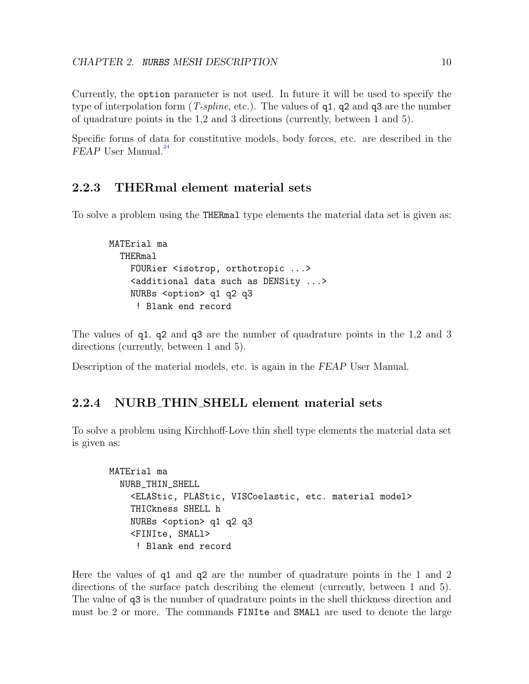Currently, the option parameter is not used. In future it will be used to specify the type of interpolation form (*T-spline*, etc.). The values of  $q_1$ ,  $q_2$  and  $q_3$  are the number of quadrature points in the 1,2 and 3 directions (currently, between 1 and 5).

Specific forms of data for constitutive models, body forces, etc. are described in the  $FEAP$  User Manual.<sup>[24](#page-43-1)</sup>

### <span id="page-14-0"></span>2.2.3 THERmal element material sets

To solve a problem using the THERmal type elements the material data set is given as:

```
MATErial ma
  THERmal
    FOURier <isotrop, orthotropic ...>
    <additional data such as DENSity ...>
    NURBs <option> q1 q2 q3
     ! Blank end record
```
The values of q1, q2 and q3 are the number of quadrature points in the 1,2 and 3 directions (currently, between 1 and 5).

Description of the material models, etc. is again in the FEAP User Manual.

### <span id="page-14-1"></span>2.2.4 NURB THIN SHELL element material sets

To solve a problem using Kirchhoff-Love thin shell type elements the material data set is given as:

```
MATErial ma
  NURB_THIN_SHELL
    <ELAStic, PLAStic, VISCoelastic, etc. material model>
    THICkness SHELL h
    NURBs <option> q1 q2 q3
    <FINIte, SMALl>
     ! Blank end record
```
Here the values of q1 and q2 are the number of quadrature points in the 1 and 2 directions of the surface patch describing the element (currently, between 1 and 5). The value of q3 is the number of quadrature points in the shell thickness direction and must be 2 or more. The commands FINIte and SMALl are used to denote the large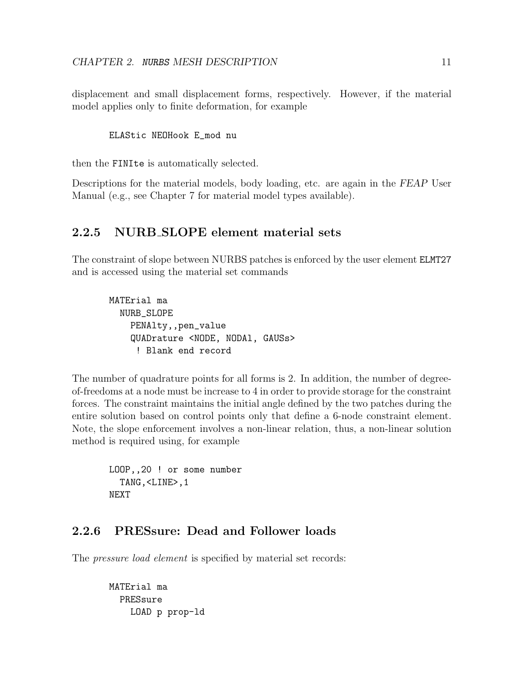displacement and small displacement forms, respectively. However, if the material model applies only to finite deformation, for example

```
ELAStic NEOHook E_mod nu
```
then the FINIte is automatically selected.

Descriptions for the material models, body loading, etc. are again in the FEAP User Manual (e.g., see Chapter 7 for material model types available).

### <span id="page-15-0"></span>2.2.5 NURB SLOPE element material sets

The constraint of slope between NURBS patches is enforced by the user element ELMT27 and is accessed using the material set commands

MATErial ma NURB\_SLOPE PENAlty,,pen\_value QUADrature <NODE, NODAl, GAUSs> ! Blank end record

The number of quadrature points for all forms is 2. In addition, the number of degreeof-freedoms at a node must be increase to 4 in order to provide storage for the constraint forces. The constraint maintains the initial angle defined by the two patches during the entire solution based on control points only that define a 6-node constraint element. Note, the slope enforcement involves a non-linear relation, thus, a non-linear solution method is required using, for example

```
LOOP,,20 ! or some number
  TANG,<LINE>,1
NEXT
```
### <span id="page-15-1"></span>2.2.6 PRESsure: Dead and Follower loads

The *pressure load element* is specified by material set records:

MATErial ma PRESsure LOAD p prop-ld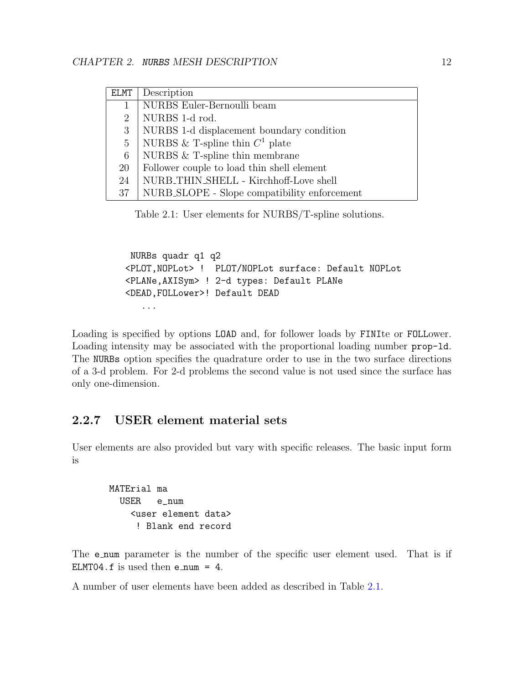| <b>ELMT</b>    | Description                                  |
|----------------|----------------------------------------------|
| 1              | NURBS Euler-Bernoulli beam                   |
| $\overline{2}$ | NURBS 1-d rod.                               |
| 3              | NURBS 1-d displacement boundary condition    |
| $\overline{5}$ | NURBS & T-spline thin $C^1$ plate            |
| 6              | NURBS $&$ T-spline thin membrane             |
| 20             | Follower couple to load thin shell element   |
| 24             | NURB_THIN_SHELL - Kirchhoff-Love shell       |
| 37             | NURB_SLOPE - Slope compatibility enforcement |

<span id="page-16-1"></span>Table 2.1: User elements for NURBS/T-spline solutions.

NURBs quadr q1 q2 <PLOT,NOPLot> ! PLOT/NOPLot surface: Default NOPLot <PLANe,AXISym> ! 2-d types: Default PLANe <DEAD,FOLLower>! Default DEAD ...

Loading is specified by options LOAD and, for follower loads by FINIte or FOLLower. Loading intensity may be associated with the proportional loading number **prop-1d**. The NURBs option specifies the quadrature order to use in the two surface directions of a 3-d problem. For 2-d problems the second value is not used since the surface has only one-dimension.

## <span id="page-16-0"></span>2.2.7 USER element material sets

User elements are also provided but vary with specific releases. The basic input form is

MATErial ma USER e\_num <user element data> ! Blank end record

The **e**-num parameter is the number of the specific user element used. That is if ELMT04.f is used then  $e$  num = 4.

A number of user elements have been added as described in Table [2.1.](#page-16-1)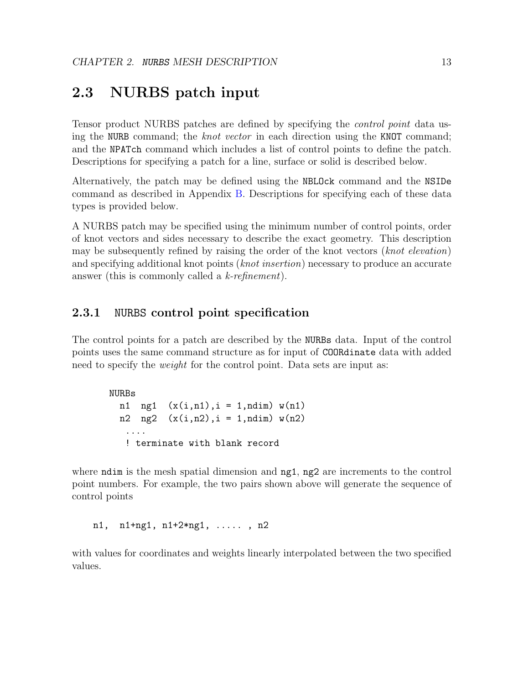## <span id="page-17-0"></span>2.3 NURBS patch input

Tensor product NURBS patches are defined by specifying the control point data using the NURB command; the knot vector in each direction using the KNOT command; and the NPATch command which includes a list of control points to define the patch. Descriptions for specifying a patch for a line, surface or solid is described below.

Alternatively, the patch may be defined using the NBLOck command and the NSIDe command as described in Appendix [B.](#page-48-0) Descriptions for specifying each of these data types is provided below.

A NURBS patch may be specified using the minimum number of control points, order of knot vectors and sides necessary to describe the exact geometry. This description may be subsequently refined by raising the order of the knot vectors (knot elevation) and specifying additional knot points (*knot insertion*) necessary to produce an accurate answer (this is commonly called a k-refinement).

### <span id="page-17-1"></span>2.3.1 NURBS control point specification

The control points for a patch are described by the NURBs data. Input of the control points uses the same command structure as for input of COORdinate data with added need to specify the *weight* for the control point. Data sets are input as:

NURBs n1 ng1  $(x(i, n1), i = 1, ndim) w(n1)$ n2 ng2  $(x(i, n2), i = 1, ndim) w(n2)$ .... ! terminate with blank record

where ndim is the mesh spatial dimension and ng1, ng2 are increments to the control point numbers. For example, the two pairs shown above will generate the sequence of control points

n1, n1+ng1, n1+2\*ng1, ..... , n2

with values for coordinates and weights linearly interpolated between the two specified values.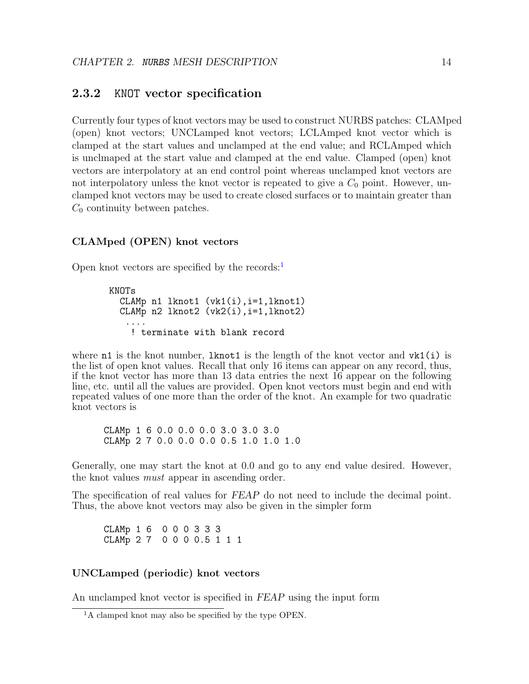### <span id="page-18-0"></span>2.3.2 KNOT vector specification

Currently four types of knot vectors may be used to construct NURBS patches: CLAMped (open) knot vectors; UNCLamped knot vectors; LCLAmped knot vector which is clamped at the start values and unclamped at the end value; and RCLAmped which is unclmaped at the start value and clamped at the end value. Clamped (open) knot vectors are interpolatory at an end control point whereas unclamped knot vectors are not interpolatory unless the knot vector is repeated to give a  $C_0$  point. However, unclamped knot vectors may be used to create closed surfaces or to maintain greater than  $C_0$  continuity between patches.

#### CLAMped (OPEN) knot vectors

Open knot vectors are specified by the records: $<sup>1</sup>$  $<sup>1</sup>$  $<sup>1</sup>$ </sup>

```
KNOTs
  CLAMp n1 lknot1 (vk1(i),i=1,lknot1)
  CLAMp n2 lknot2 (vk2(i),i=1,lknot2)
   ....
    ! terminate with blank record
```
where  $n1$  is the knot number, lknot1 is the length of the knot vector and  $vk1(i)$  is the list of open knot values. Recall that only 16 items can appear on any record, thus, if the knot vector has more than 13 data entries the next 16 appear on the following line, etc. until all the values are provided. Open knot vectors must begin and end with repeated values of one more than the order of the knot. An example for two quadratic knot vectors is

CLAMp 1 6 0.0 0.0 0.0 3.0 3.0 3.0 CLAMp 2 7 0.0 0.0 0.0 0.5 1.0 1.0 1.0

Generally, one may start the knot at 0.0 and go to any end value desired. However, the knot values must appear in ascending order.

The specification of real values for FEAP do not need to include the decimal point. Thus, the above knot vectors may also be given in the simpler form

CLAMp 1 6 0 0 0 3 3 3 CLAMp 2 7 0 0 0 0.5 1 1 1

#### UNCLamped (periodic) knot vectors

An unclamped knot vector is specified in FEAP using the input form

<span id="page-18-1"></span><sup>&</sup>lt;sup>1</sup>A clamped knot may also be specified by the type OPEN.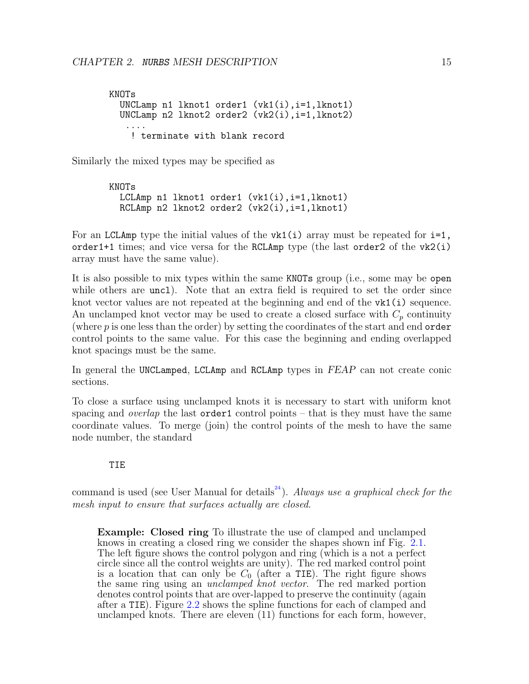KNOTs UNCLamp n1 lknot1 order1 (vk1(i),i=1,lknot1) UNCLamp n2 lknot2 order2 (vk2(i),i=1,lknot2) .... ! terminate with blank record

Similarly the mixed types may be specified as

KNOTs LCLAmp n1 lknot1 order1  $(vk1(i), i=1, lknot1)$  $RCLAmp n2$  lknot2 order2  $(vk2(i), i=1, lknot1)$ 

For an LCLAmp type the initial values of the  $v \kappa 1(i)$  array must be repeated for  $i=1$ , order1+1 times; and vice versa for the RCLAmp type (the last order2 of the vk2(i) array must have the same value).

It is also possible to mix types within the same KNOTs group (i.e., some may be open while others are uncl. Note that an extra field is required to set the order since knot vector values are not repeated at the beginning and end of the  $v\mathbf{k1}(\mathbf{i})$  sequence. An unclamped knot vector may be used to create a closed surface with  $C_p$  continuity (where p is one less than the order) by setting the coordinates of the start and end order control points to the same value. For this case the beginning and ending overlapped knot spacings must be the same.

In general the UNCLamped, LCLAmp and RCLAmp types in FEAP can not create conic sections.

To close a surface using unclamped knots it is necessary to start with uniform knot spacing and *overlap* the last **order1** control points – that is they must have the same coordinate values. To merge (join) the control points of the mesh to have the same node number, the standard

#### TIE

command is used (see User Manual for details<sup>[24](#page-43-1)</sup>). Always use a graphical check for the mesh input to ensure that surfaces actually are closed.

Example: Closed ring To illustrate the use of clamped and unclamped knows in creating a closed ring we consider the shapes shown inf Fig. [2.1.](#page-20-0) The left figure shows the control polygon and ring (which is a not a perfect circle since all the control weights are unity). The red marked control point is a location that can only be  $C_0$  (after a TIE). The right figure shows the same ring using an *unclamped knot vector*. The red marked portion denotes control points that are over-lapped to preserve the continuity (again after a TIE). Figure [2.2](#page-21-1) shows the spline functions for each of clamped and unclamped knots. There are eleven (11) functions for each form, however,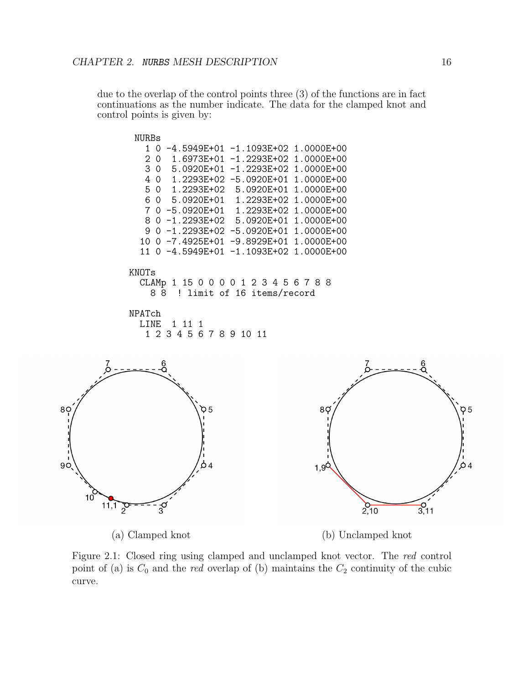due to the overlap of the control points three (3) of the functions are in fact continuations as the number indicate. The data for the clamped knot and control points is given by:



<span id="page-20-0"></span>Figure 2.1: Closed ring using clamped and unclamped knot vector. The red control point of (a) is  $C_0$  and the *red* overlap of (b) maintains the  $C_2$  continuity of the cubic curve.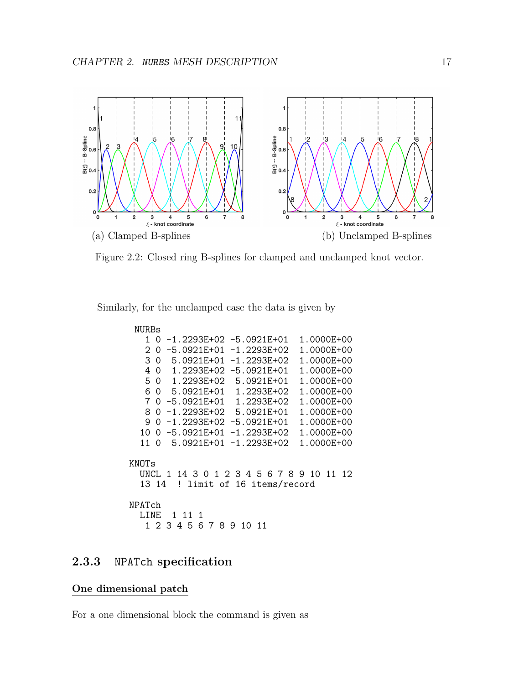

<span id="page-21-1"></span>Figure 2.2: Closed ring B-splines for clamped and unclamped knot vector.

Similarly, for the unclamped case the data is given by

```
NURBs
   1 0 -1.2293E+02 -5.0921E+01 1.0000E+00
   2 0 -5.0921E+01 -1.2293E+02 1.0000E+00
   3 0 5.0921E+01 -1.2293E+02 1.0000E+00
   4 0 1.2293E+02 -5.0921E+01 1.0000E+00
         1.2293E+02
   6 0 5.0921E+01 1.2293E+02 1.0000E+00
   7 0 -5.0921E+01 1.2293E+02 1.0000E+00
   8 0 -1.2293E+02 5.0921E+01 1.0000E+00
   9 0 -1.2293E+02 -5.0921E+01
  10 0 -5.0921E+01 -1.2293E+02 1.0000E+00<br>11 0 5.0921E+01 -1.2293E+02 1.0000E+00
         5.0921E+01 -1.2293E+02KNOTs
  UNCL 1 14 3 0 1 2 3 4 5 6 7 8 9 10 11 12<br>13 14 ! limit of 16 items/record
          ! limit of 16 items/record
NPATch
  LINE 1 11 1
   1 2 3 4 5 6 7 8 9 10 11
```
## <span id="page-21-0"></span>2.3.3 NPATch specification

#### One dimensional patch

For a one dimensional block the command is given as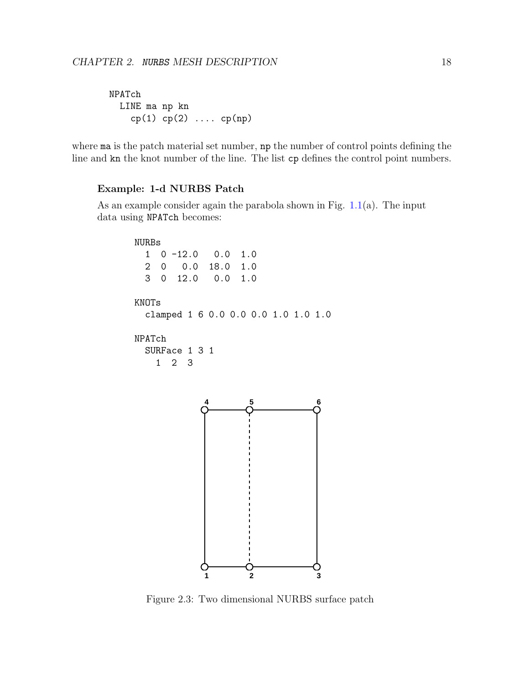```
NPATch
 LINE ma np kn
    cp(1) cp(2) .... cp(np)
```
where ma is the patch material set number, np the number of control points defining the line and kn the knot number of the line. The list cp defines the control point numbers.

#### Example: 1-d NURBS Patch

As an example consider again the parabola shown in Fig.  $1.1(a)$  $1.1(a)$ . The input data using NPATch becomes:



<span id="page-22-0"></span>Figure 2.3: Two dimensional NURBS surface patch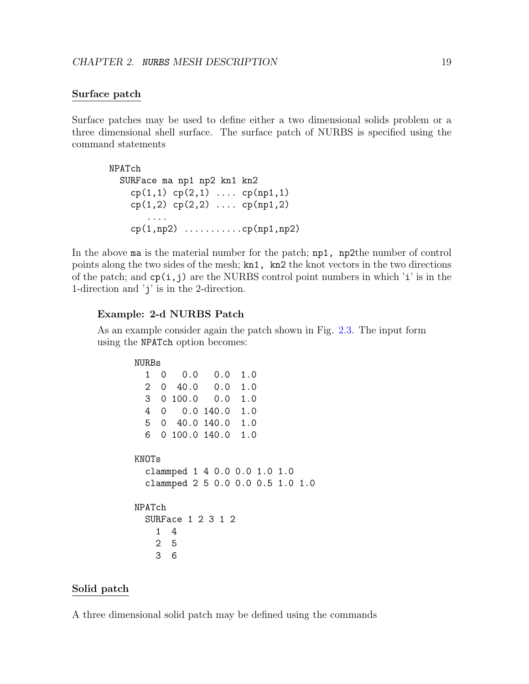#### Surface patch

Surface patches may be used to define either a two dimensional solids problem or a three dimensional shell surface. The surface patch of NURBS is specified using the command statements

NPATch SURFace ma np1 np2 kn1 kn2  $cp(1,1)$   $cp(2,1)$  ....  $cp(np1,1)$  $cp(1,2)$   $cp(2,2)$  ....  $cp(np1,2)$ .... cp(1,np2) ...........cp(np1,np2)

In the above ma is the material number for the patch; np1, np2the number of control points along the two sides of the mesh; kn1, kn2 the knot vectors in the two directions of the patch; and  $cp(i, j)$  are the NURBS control point numbers in which 'i' is in the 1-direction and 'j' is in the 2-direction.

#### Example: 2-d NURBS Patch

As an example consider again the patch shown in Fig. [2.3.](#page-22-0) The input form using the NPATch option becomes:

| NURBs             |          |                    |                 |                                                                  |  |  |
|-------------------|----------|--------------------|-----------------|------------------------------------------------------------------|--|--|
| 1                 | 0        |                    | $0.0 \quad 0.0$ | 1.0                                                              |  |  |
| 2                 | $\Omega$ |                    | $40.0 \ 0.0$    | 1.0                                                              |  |  |
| $3 -$             |          | $0,100.0$ $0.0$    |                 | 1.0                                                              |  |  |
| 4                 | 0        |                    | 0.0140.0        | 1.0                                                              |  |  |
| 5                 |          | $0$ 40.0 140.0 1.0 |                 |                                                                  |  |  |
| 6                 |          | 0 100.0 140.0 1.0  |                 |                                                                  |  |  |
| KNOTs             |          |                    |                 | clammped 1 4 0.0 0.0 1.0 1.0<br>clammped 2 5 0.0 0.0 0.5 1.0 1.0 |  |  |
| NPATch            |          |                    |                 |                                                                  |  |  |
| SURFace 1 2 3 1 2 |          |                    |                 |                                                                  |  |  |
| 1                 |          | 4                  |                 |                                                                  |  |  |
|                   | 25       |                    |                 |                                                                  |  |  |
| З                 |          | 6                  |                 |                                                                  |  |  |

#### Solid patch

A three dimensional solid patch may be defined using the commands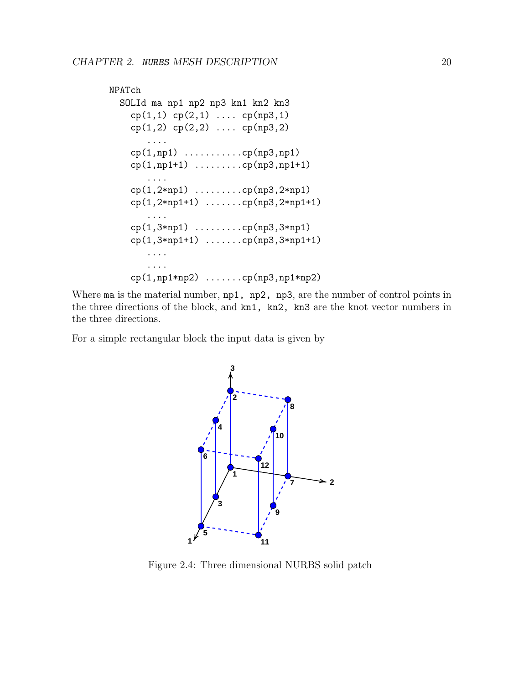```
NPATch
  SOLId ma np1 np2 np3 kn1 kn2 kn3
    cp(1,1) cp(2,1) .... cp(np3,1)cp(1,2) cp(2,2) .... cp(np3,2)....
    cp(1,np1) ...........cp(np3,np1)
    cp(1,np1+1) .........cp(np3,np1+1)
       ....
    cp(1,2*np1) .........cp(np3,2*np1)
    cp(1,2*np1+1) .........cp(np3,2*np1+1)
          ....
    cp(1,3*np1) .........cp(np3,3*np1)
    cp(1,3*np1+1) .......cp(np3,3*np1+1)
       ....
       ....
    cp(1,np1*np2) .......cp(np3,np1*np2)
```
Where ma is the material number,  $np1$ ,  $np2$ ,  $np3$ , are the number of control points in the three directions of the block, and kn1, kn2, kn3 are the knot vector numbers in the three directions.

For a simple rectangular block the input data is given by



<span id="page-24-0"></span>Figure 2.4: Three dimensional NURBS solid patch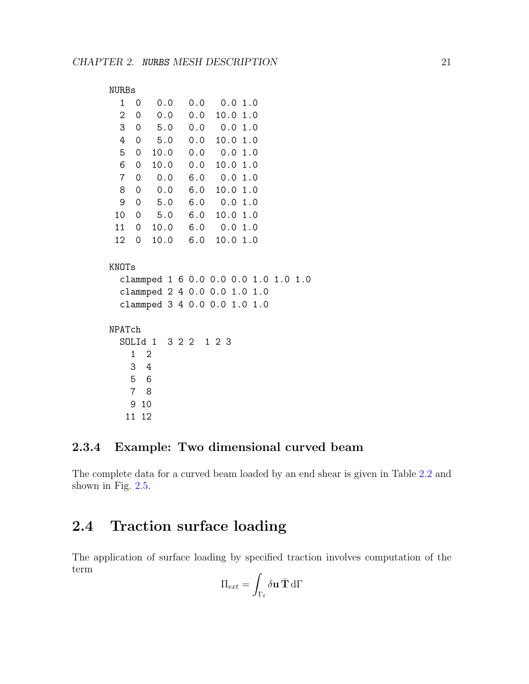```
NURBs
 1 0 0.0 0.0 0.0 1.0
 2 0 0.0 0.0 10.0 1.0
 3 0 5.0 0.0 0.0 1.0
 4 0 5.0 0.0 10.0 1.0
 5 0 10.0 0.0 0.0 1.0
 6 0 10.0 0.0 10.0 1.0
 7 0 0.0 6.0 0.0 1.0
 8 0 0.0 6.0 10.0 1.0
 9 0 5.0 6.0 0.0 1.0
 10 0 5.0 6.0 10.0 1.0
 11 0 10.0 6.0 0.0 1.0
 12 0 10.0 6.0 10.0 1.0
KNOTs
 clammped 1 6 0.0 0.0 0.0 1.0 1.0 1.0
 clammped 2 4 0.0 0.0 1.0 1.0
 clammped 3 4 0.0 0.0 1.0 1.0
NPATch
 SOLId 1 3 2 2 1 2 3
   1 2
   3 4
   5 6
   7 8
   9 10
  11 12
```
## <span id="page-25-0"></span>2.3.4 Example: Two dimensional curved beam

The complete data for a curved beam loaded by an end shear is given in Table [2.2](#page-27-0) and shown in Fig. [2.5.](#page-26-1)

## <span id="page-25-1"></span>2.4 Traction surface loading

The application of surface loading by specified traction involves computation of the term

$$
\Pi_{ext} = \int_{\Gamma_t} \delta \mathbf{u} \, \bar{\mathbf{T}} \, d\Gamma
$$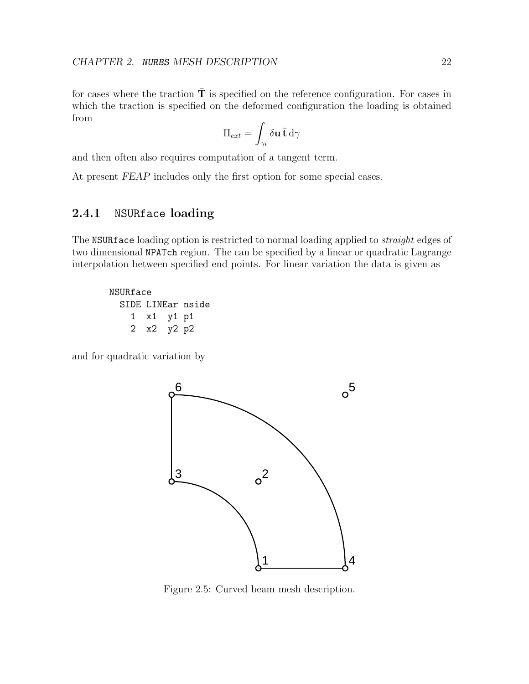for cases where the traction  $\overline{T}$  is specified on the reference configuration. For cases in which the traction is specified on the deformed configuration the loading is obtained from

$$
\Pi_{ext} = \int_{\gamma_t} \delta \mathbf{u} \, \bar{\mathbf{t}} \, \mathrm{d}\gamma
$$

and then often also requires computation of a tangent term.

At present FEAP includes only the first option for some special cases.

### <span id="page-26-0"></span>2.4.1 NSURface loading

The NSURface loading option is restricted to normal loading applied to *straight* edges of two dimensional NPATch region. The can be specified by a linear or quadratic Lagrange interpolation between specified end points. For linear variation the data is given as

NSURface SIDE LINEar nside 1 x1 y1 p1 2 x2 y2 p2

and for quadratic variation by



<span id="page-26-1"></span>Figure 2.5: Curved beam mesh description.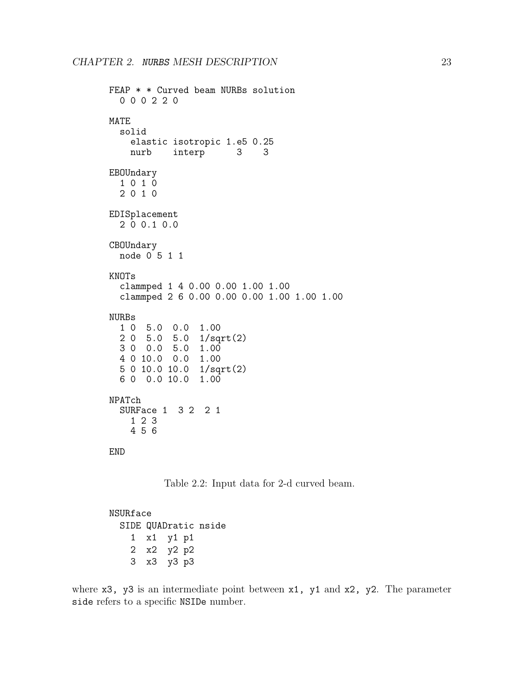```
FEAP * * Curved beam NURBs solution
  0 0 0 2 2 0
MATE
  solid
    elastic isotropic 1.e5 0.25
   nurb interp 3 3
EBOUndary
  1 0 1 0
  2 0 1 0
EDISplacement
  2 0 0.1 0.0
CBOUndary
  node 0 5 1 1
KNOTs
  clammped 1 4 0.00 0.00 1.00 1.00
  clammped 2 6 0.00 0.00 0.00 1.00 1.00 1.00
NURBs
  1 0 5.0 0.0 1.00
  2 0 5.0 5.0 1/sqrt(2)
  3 0 0.0 5.0 1.00
  4 0 10.0 0.0 1.00
  5 0 10.0 10.0 1/sqrt(2)
  6 0 0.0 10.0 1.00
NPATch
 SURFace 1 3 2 2 1
   1 2 3
    4 5 6
END
```
<span id="page-27-0"></span>Table 2.2: Input data for 2-d curved beam.

NSURface SIDE QUADratic nside 1 x1 y1 p1 2 x2 y2 p2 3 x3 y3 p3

where  $x3$ ,  $y3$  is an intermediate point between  $x1$ ,  $y1$  and  $x2$ ,  $y2$ . The parameter side refers to a specific NSIDe number.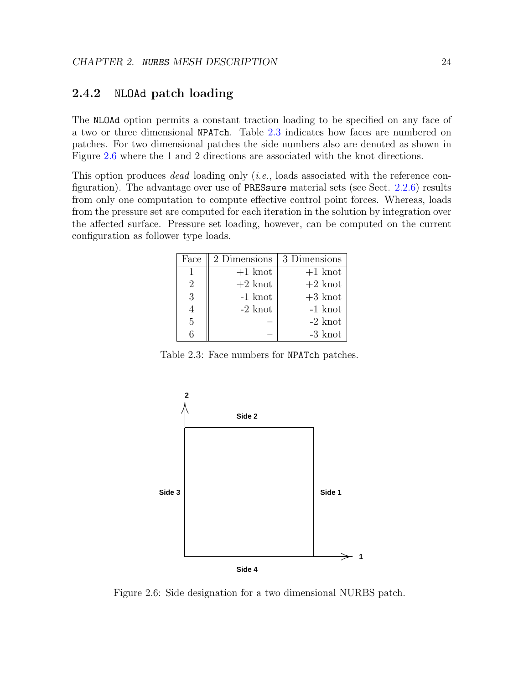### <span id="page-28-0"></span>2.4.2 NLOAd patch loading

The NLOAd option permits a constant traction loading to be specified on any face of a two or three dimensional NPATch. Table [2.3](#page-28-2) indicates how faces are numbered on patches. For two dimensional patches the side numbers also are denoted as shown in Figure [2.6](#page-28-1) where the 1 and 2 directions are associated with the knot directions.

This option produces *dead* loading only *(i.e., loads associated with the reference con*figuration). The advantage over use of PRESsure material sets (see Sect. [2.2.6\)](#page-15-1) results from only one computation to compute effective control point forces. Whereas, loads from the pressure set are computed for each iteration in the solution by integration over the affected surface. Pressure set loading, however, can be computed on the current configuration as follower type loads.

| Face           | 2 Dimensions | 3 Dimensions |
|----------------|--------------|--------------|
|                | $+1$ knot    | $+1$ knot    |
| $\overline{2}$ | $+2$ knot    | $+2$ knot    |
| 3              | $-1$ knot    | $+3$ knot    |
|                | $-2$ knot    | $-1$ knot    |
| 5              |              | $-2$ knot    |
|                |              | $-3$ knot    |

<span id="page-28-2"></span>Table 2.3: Face numbers for NPATch patches.



<span id="page-28-1"></span>Figure 2.6: Side designation for a two dimensional NURBS patch.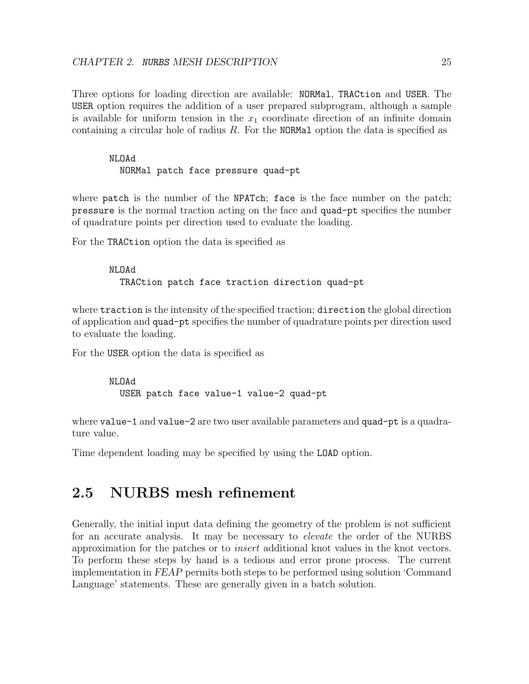Three options for loading direction are available: NORMal, TRACtion and USER. The USER option requires the addition of a user prepared subprogram, although a sample is available for uniform tension in the  $x_1$  coordinate direction of an infinite domain containing a circular hole of radius R. For the NORMal option the data is specified as

#### NLOAd

NORMal patch face pressure quad-pt

where patch is the number of the NPATch; face is the face number on the patch; pressure is the normal traction acting on the face and quad-pt specifies the number of quadrature points per direction used to evaluate the loading.

For the TRACtion option the data is specified as

#### NLOAd TRACtion patch face traction direction quad-pt

where traction is the intensity of the specified traction; direction the global direction of application and quad-pt specifies the number of quadrature points per direction used to evaluate the loading.

For the USER option the data is specified as

```
NLOAd
  USER patch face value-1 value-2 quad-pt
```
where value-1 and value-2 are two user available parameters and quad-pt is a quadrature value.

Time dependent loading may be specified by using the LOAD option.

## <span id="page-29-0"></span>2.5 NURBS mesh refinement

Generally, the initial input data defining the geometry of the problem is not sufficient for an accurate analysis. It may be necessary to *elevate* the order of the NURBS approximation for the patches or to insert additional knot values in the knot vectors. To perform these steps by hand is a tedious and error prone process. The current implementation in FEAP permits both steps to be performed using solution 'Command Language' statements. These are generally given in a batch solution.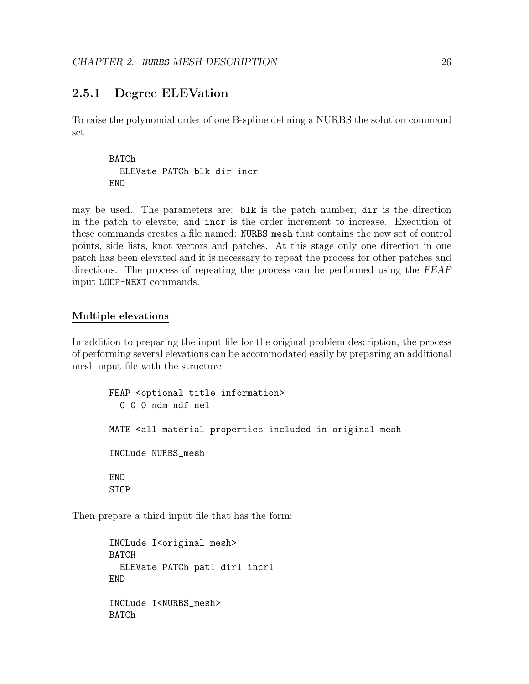### <span id="page-30-0"></span>2.5.1 Degree ELEVation

To raise the polynomial order of one B-spline defining a NURBS the solution command set

**BATCh** ELEVate PATCh blk dir incr END

may be used. The parameters are: blk is the patch number; dir is the direction in the patch to elevate; and incr is the order increment to increase. Execution of these commands creates a file named: NURBS mesh that contains the new set of control points, side lists, knot vectors and patches. At this stage only one direction in one patch has been elevated and it is necessary to repeat the process for other patches and directions. The process of repeating the process can be performed using the FEAP input LOOP-NEXT commands.

#### Multiple elevations

In addition to preparing the input file for the original problem description, the process of performing several elevations can be accommodated easily by preparing an additional mesh input file with the structure

```
FEAP <optional title information>
  0 0 0 ndm ndf nel
MATE <all material properties included in original mesh
INCLude NURBS_mesh
END
STOP
```
Then prepare a third input file that has the form:

```
INCLude I<original mesh>
BATCH
  ELEVate PATCh pat1 dir1 incr1
END
INCLude I<NURBS_mesh>
BATCh
```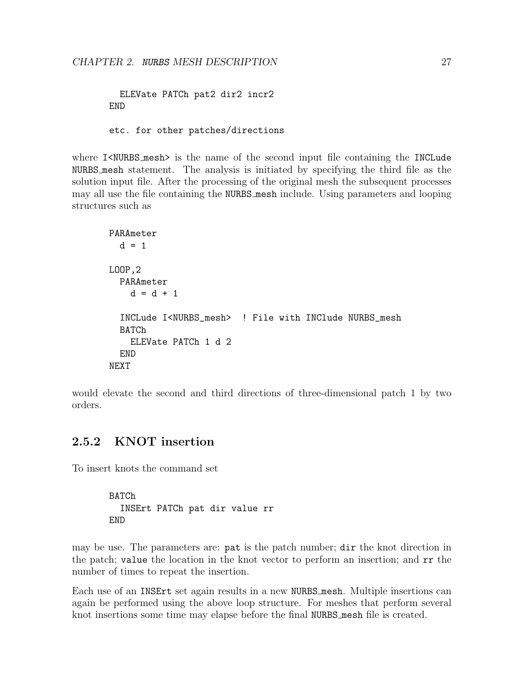ELEVate PATCh pat2 dir2 incr2 END etc. for other patches/directions

where I<NURBS mesh> is the name of the second input file containing the INCLude NURBS mesh statement. The analysis is initiated by specifying the third file as the solution input file. After the processing of the original mesh the subsequent processes may all use the file containing the NURBS mesh include. Using parameters and looping structures such as

```
PARAmeter
  d = 1LOOP,2
  PARAmeter
    d = d + 1INCLude I<NURBS_mesh> ! File with INClude NURBS_mesh
  BATCh
    ELEVate PATCh 1 d 2
  END
NEXT
```
would elevate the second and third directions of three-dimensional patch 1 by two orders.

### <span id="page-31-0"></span>2.5.2 KNOT insertion

To insert knots the command set

```
BATCh
  INSErt PATCh pat dir value rr
END
```
may be use. The parameters are: pat is the patch number; dir the knot direction in the patch; value the location in the knot vector to perform an insertion; and rr the number of times to repeat the insertion.

Each use of an INSErt set again results in a new NURBS mesh. Multiple insertions can again be performed using the above loop structure. For meshes that perform several knot insertions some time may elapse before the final NURBS mesh file is created.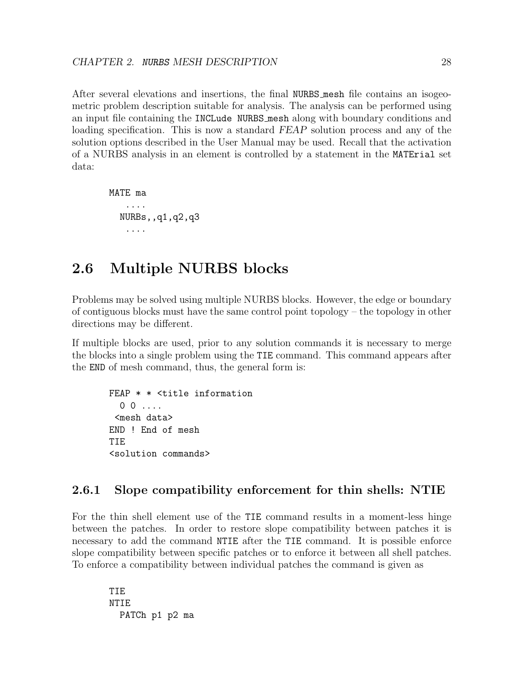After several elevations and insertions, the final NURBS mesh file contains an isogeometric problem description suitable for analysis. The analysis can be performed using an input file containing the INCLude NURBS mesh along with boundary conditions and loading specification. This is now a standard FEAP solution process and any of the solution options described in the User Manual may be used. Recall that the activation of a NURBS analysis in an element is controlled by a statement in the MATErial set data:

MATE ma .... NURBs,,q1,q2,q3 ....

## <span id="page-32-0"></span>2.6 Multiple NURBS blocks

Problems may be solved using multiple NURBS blocks. However, the edge or boundary of contiguous blocks must have the same control point topology – the topology in other directions may be different.

If multiple blocks are used, prior to any solution commands it is necessary to merge the blocks into a single problem using the TIE command. This command appears after the END of mesh command, thus, the general form is:

FEAP \* \* <title information  $0 \quad 0 \quad \ldots$ <mesh data> END ! End of mesh TIE <solution commands>

## <span id="page-32-1"></span>2.6.1 Slope compatibility enforcement for thin shells: NTIE

For the thin shell element use of the TIE command results in a moment-less hinge between the patches. In order to restore slope compatibility between patches it is necessary to add the command NTIE after the TIE command. It is possible enforce slope compatibility between specific patches or to enforce it between all shell patches. To enforce a compatibility between individual patches the command is given as

TIE NTIE PATCh p1 p2 ma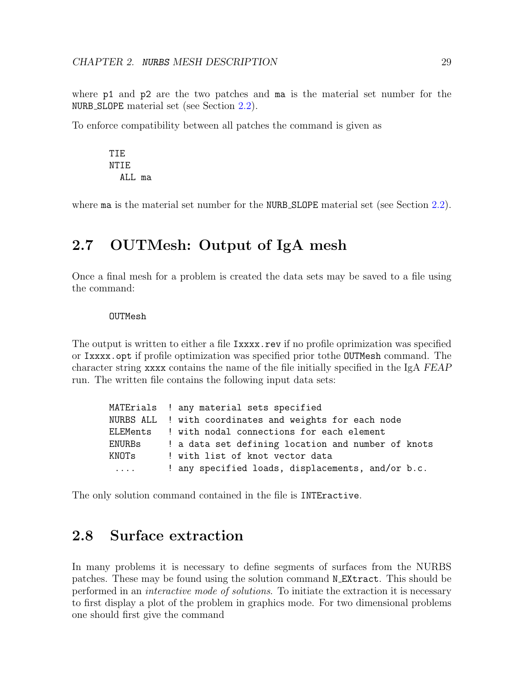where p1 and p2 are the two patches and ma is the material set number for the NURB SLOPE material set (see Section [2.2\)](#page-13-0).

To enforce compatibility between all patches the command is given as

TIE NTIE ALL ma

where **ma** is the material set number for the **NURB\_SLOPE** material set (see Section [2.2\)](#page-13-0).

## <span id="page-33-0"></span>2.7 OUTMesh: Output of IgA mesh

Once a final mesh for a problem is created the data sets may be saved to a file using the command:

#### OUTMesh

The output is written to either a file Ixxxx.rev if no profile oprimization was specified or Ixxxx.opt if profile optimization was specified prior tothe OUTMesh command. The character string xxxx contains the name of the file initially specified in the IgA FEAP run. The written file contains the following input data sets:

|          | MATErials ! any material sets specified                |
|----------|--------------------------------------------------------|
|          | NURBS ALL ! with coordinates and weights for each node |
|          | ELEMents ! with nodal connections for each element     |
| ENURBs   | ! a data set defining location and number of knots     |
| KNOTs    | ! with list of knot vector data                        |
| $\cdots$ | ! any specified loads, displacements, and/or b.c.      |

The only solution command contained in the file is INTEractive.

## <span id="page-33-1"></span>2.8 Surface extraction

In many problems it is necessary to define segments of surfaces from the NURBS patches. These may be found using the solution command N EXtract. This should be performed in an interactive mode of solutions. To initiate the extraction it is necessary to first display a plot of the problem in graphics mode. For two dimensional problems one should first give the command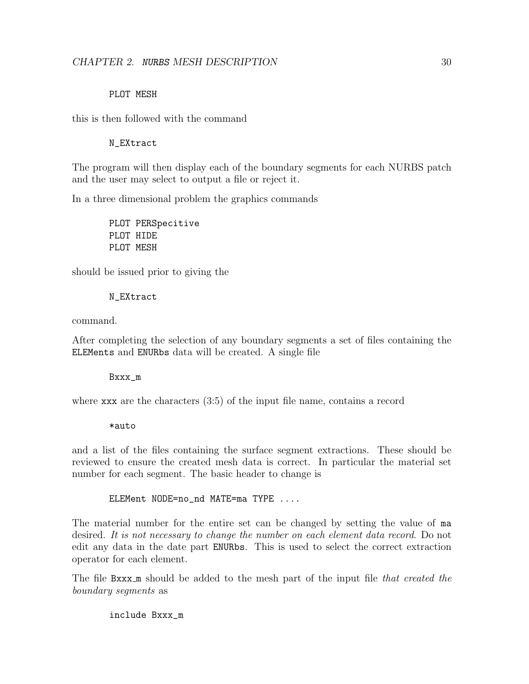#### PLOT MESH

this is then followed with the command

#### N\_EXtract

The program will then display each of the boundary segments for each NURBS patch and the user may select to output a file or reject it.

In a three dimensional problem the graphics commands

PLOT PERSpecitive PLOT HIDE PLOT MESH

should be issued prior to giving the

#### N\_EXtract

command.

After completing the selection of any boundary segments a set of files containing the ELEMents and ENURbs data will be created. A single file

Bxxx\_m

where xxx are the characters (3:5) of the input file name, contains a record

\*auto

and a list of the files containing the surface segment extractions. These should be reviewed to ensure the created mesh data is correct. In particular the material set number for each segment. The basic header to change is

ELEMent NODE=no\_nd MATE=ma TYPE ....

The material number for the entire set can be changed by setting the value of ma desired. It is not necessary to change the number on each element data record. Do not edit any data in the date part ENURbs. This is used to select the correct extraction operator for each element.

The file Bxxx<sub>m</sub> should be added to the mesh part of the input file that created the boundary segments as

include Bxxx\_m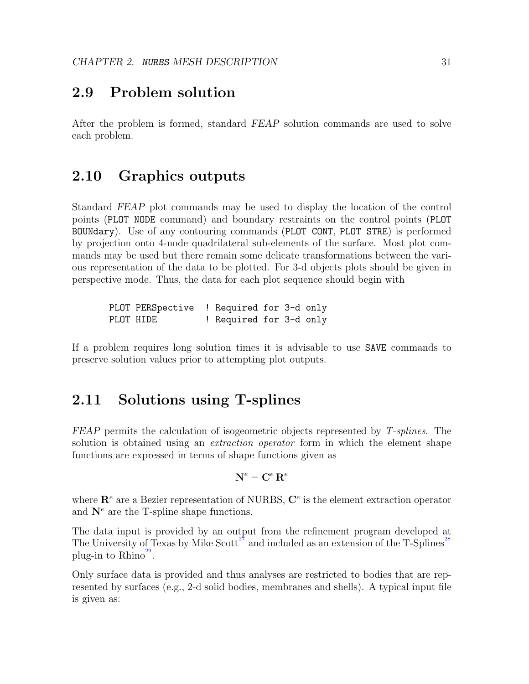## <span id="page-35-0"></span>2.9 Problem solution

After the problem is formed, standard FEAP solution commands are used to solve each problem.

## <span id="page-35-1"></span>2.10 Graphics outputs

Standard FEAP plot commands may be used to display the location of the control points (PLOT NODE command) and boundary restraints on the control points (PLOT BOUNdary). Use of any contouring commands (PLOT CONT, PLOT STRE) is performed by projection onto 4-node quadrilateral sub-elements of the surface. Most plot commands may be used but there remain some delicate transformations between the various representation of the data to be plotted. For 3-d objects plots should be given in perspective mode. Thus, the data for each plot sequence should begin with

PLOT PERSpective ! Required for 3-d only PLOT HIDE ! Required for 3-d only

If a problem requires long solution times it is advisable to use SAVE commands to preserve solution values prior to attempting plot outputs.

## <span id="page-35-2"></span>2.11 Solutions using T-splines

FEAP permits the calculation of isogeometric objects represented by T-splines. The solution is obtained using an *extraction operator* form in which the element shape functions are expressed in terms of shape functions given as

$$
\mathbf{N}^e = \mathbf{C}^e \, \mathbf{R}^e
$$

where  $\mathbf{R}^e$  are a Bezier representation of NURBS,  $\mathbf{C}^e$  is the element extraction operator and  $N^e$  are the T-spline shape functions.

The data input is provided by an output from the refinement program developed at The University of Texas by Mike  $S<sup>27</sup>$  $S<sup>27</sup>$  $S<sup>27</sup>$  and included as an extension of the T-Splines<sup>2</sup> plug-in to  $\mathrm{Rhino}^{29}$  $\mathrm{Rhino}^{29}$  $\mathrm{Rhino}^{29}$ .

Only surface data is provided and thus analyses are restricted to bodies that are represented by surfaces (e.g., 2-d solid bodies, membranes and shells). A typical input file is given as: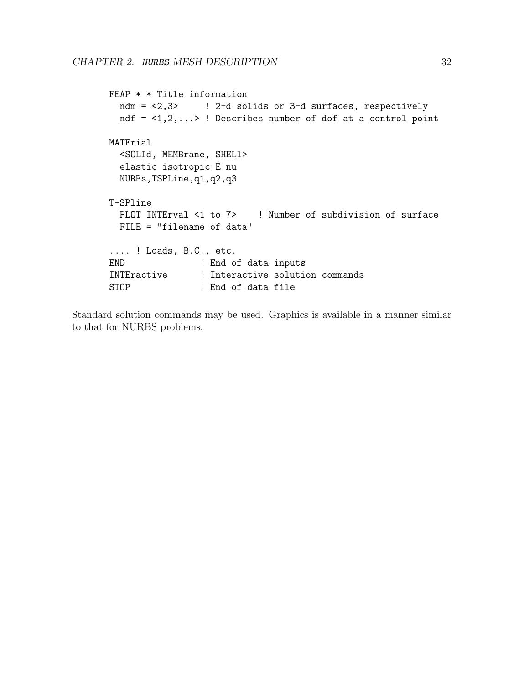```
FEAP * * Title information
 ndm = <2,3> ! 2-d solids or 3-d surfaces, respectively
 ndf = \langle 1, 2, \ldots \rangle ! Describes number of dof at a control point
MATErial
  <SOLId, MEMBrane, SHELl>
  elastic isotropic E nu
 NURBs,TSPLine,q1,q2,q3
T-SPline
 PLOT INTErval <1 to 7> ! Number of subdivision of surface
 FILE = "filename of data"
.... ! Loads, B.C., etc.
END ! End of data inputs
INTEractive ! Interactive solution commands
STOP ! End of data file
```
Standard solution commands may be used. Graphics is available in a manner similar to that for NURBS problems.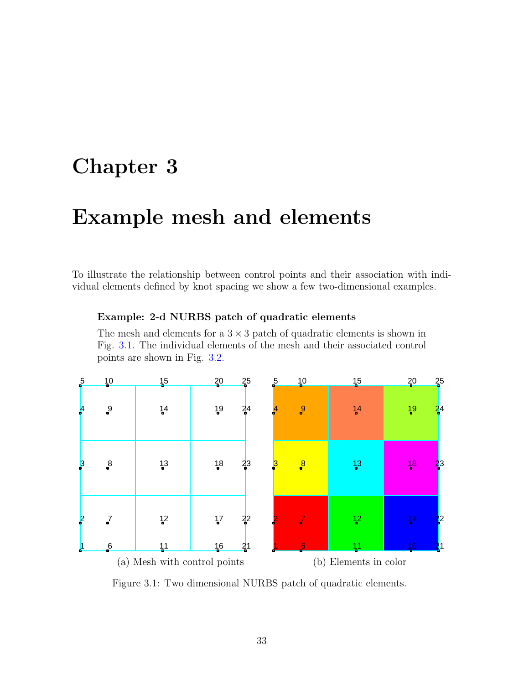# <span id="page-37-0"></span>Chapter 3

# Example mesh and elements

To illustrate the relationship between control points and their association with individual elements defined by knot spacing we show a few two-dimensional examples.

#### Example: 2-d NURBS patch of quadratic elements

The mesh and elements for a  $3 \times 3$  patch of quadratic elements is shown in Fig. [3.1.](#page-37-1) The individual elements of the mesh and their associated control points are shown in Fig. [3.2.](#page-38-0)



<span id="page-37-1"></span>Figure 3.1: Two dimensional NURBS patch of quadratic elements.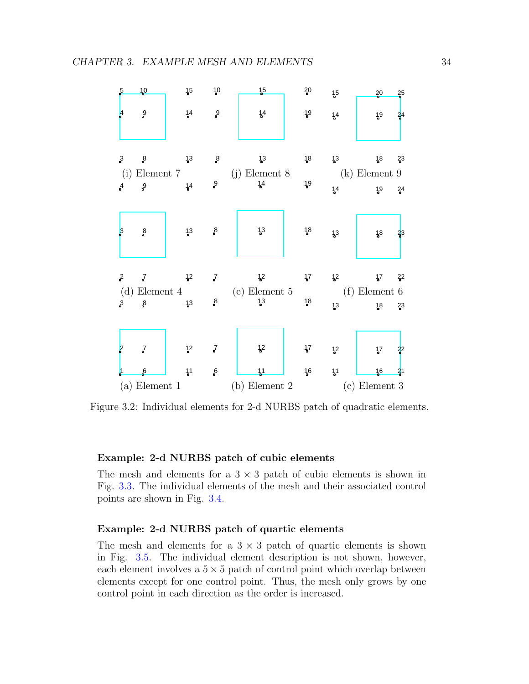| $5\overline{)}$                           | 10                                 | 15                                            | 10                             | 15                                        | 20         | 15                               | 20<br>25                                             |
|-------------------------------------------|------------------------------------|-----------------------------------------------|--------------------------------|-------------------------------------------|------------|----------------------------------|------------------------------------------------------|
| ļ4                                        | 9                                  | 14                                            | $9$                            | 14                                        | 19         | 14                               | 19<br>$^{24}$                                        |
| $3\overline{ }$<br>(i)<br>$\frac{4}{2}$   | $\mathbf{g}$<br>Element $7\,$<br>9 | 1 <sup>3</sup><br>14                          | $\rm ^8$<br>9                  | 1 <sup>3</sup><br>$(j)$ Element $8$<br>14 | 18<br>19   | 1 <sup>3</sup><br>14             | 18<br>2 <sup>3</sup><br>$(k)$ Element 9<br>19<br>24  |
| 3                                         | $\boldsymbol{\mathcal{S}}$         | 1 <sup>3</sup>                                | $_{\rm s}^8$                   | 1 <sup>3</sup>                            | 18         | 1 <sup>3</sup>                   | 18<br>$^{23}$                                        |
| $\frac{2}{\pi}$<br>(d)<br>$3\overline{ }$ | 7<br>$\mathbf{g}$                  | 1 <sup>2</sup><br>Element 4<br>1 <sup>3</sup> | $\cal J$<br>$_{\rm s}^{\rm 8}$ | 12<br>$(e)$ Element $5$<br>1 <sup>3</sup> | $17$<br>18 | 1 <sup>2</sup><br>1 <sup>3</sup> | $17$ $22$<br>$(f)$ Element 6<br>18<br>2 <sup>3</sup> |
| $\epsilon$<br>ņ                           | $\vec{J}$<br>$6 \frac{1}{2}$       | 12<br>1 <sup>1</sup>                          | $\vec{J}$<br>$\mathbf{6}$      | $\mathsf{L}^2$<br>11                      | 17<br>16   | 12<br>11                         | 17<br>$^{22}$<br>16<br>$^{21}$                       |
|                                           | $(a)$ Element 1                    |                                               |                                | $(b)$ Element 2                           |            |                                  | $(c)$ Element 3                                      |

<span id="page-38-0"></span>Figure 3.2: Individual elements for 2-d NURBS patch of quadratic elements.

#### Example: 2-d NURBS patch of cubic elements

The mesh and elements for a  $3 \times 3$  patch of cubic elements is shown in Fig. [3.3.](#page-39-0) The individual elements of the mesh and their associated control points are shown in Fig. [3.4.](#page-39-1)

#### Example: 2-d NURBS patch of quartic elements

The mesh and elements for a  $3 \times 3$  patch of quartic elements is shown in Fig. [3.5.](#page-40-0) The individual element description is not shown, however, each element involves a  $5 \times 5$  patch of control point which overlap between elements except for one control point. Thus, the mesh only grows by one control point in each direction as the order is increased.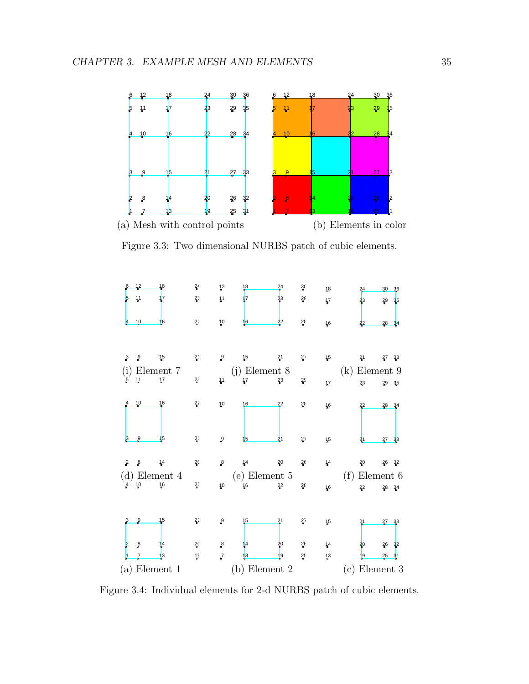

<span id="page-39-0"></span>Figure 3.3: Two dimensional NURBS patch of cubic elements.



<span id="page-39-1"></span>Figure 3.4: Individual elements for 2-d NURBS patch of cubic elements.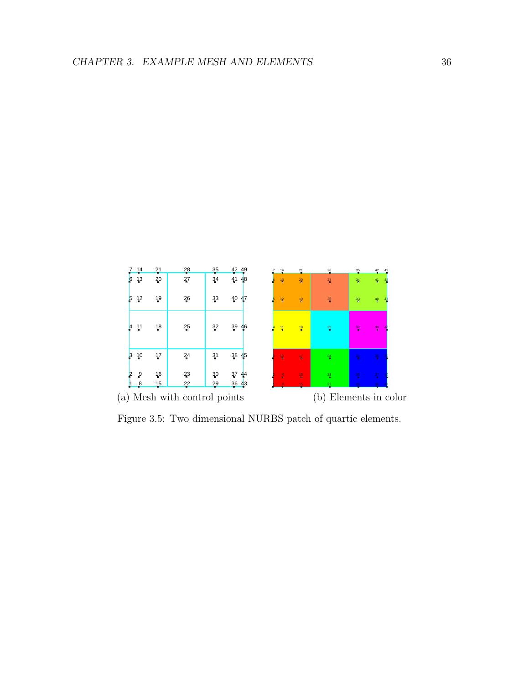![](_page_40_Figure_1.jpeg)

<span id="page-40-0"></span>Figure 3.5: Two dimensional NURBS patch of quartic elements.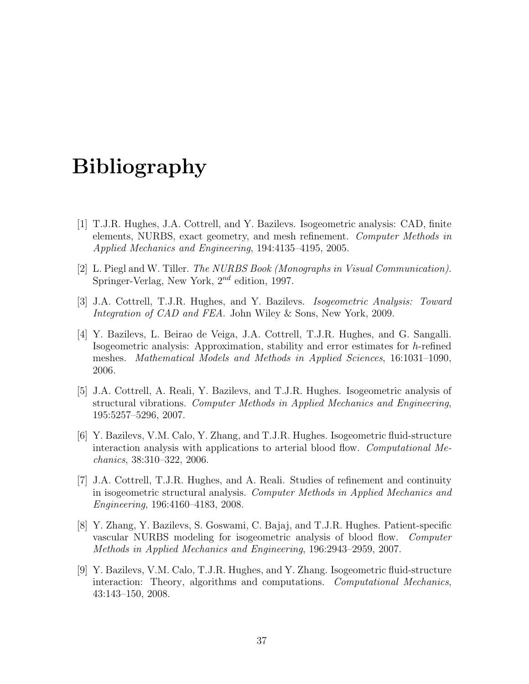# Bibliography

- <span id="page-41-0"></span>[1] T.J.R. Hughes, J.A. Cottrell, and Y. Bazilevs. Isogeometric analysis: CAD, finite elements, NURBS, exact geometry, and mesh refinement. Computer Methods in Applied Mechanics and Engineering, 194:4135–4195, 2005.
- <span id="page-41-1"></span>[2] L. Piegl and W. Tiller. The NURBS Book (Monographs in Visual Communication). Springer-Verlag, New York, 2nd edition, 1997.
- <span id="page-41-2"></span>[3] J.A. Cottrell, T.J.R. Hughes, and Y. Bazilevs. Isogeometric Analysis: Toward Integration of CAD and FEA. John Wiley & Sons, New York, 2009.
- <span id="page-41-3"></span>[4] Y. Bazilevs, L. Beirao de Veiga, J.A. Cottrell, T.J.R. Hughes, and G. Sangalli. Isogeometric analysis: Approximation, stability and error estimates for h-refined meshes. Mathematical Models and Methods in Applied Sciences, 16:1031–1090, 2006.
- [5] J.A. Cottrell, A. Reali, Y. Bazilevs, and T.J.R. Hughes. Isogeometric analysis of structural vibrations. Computer Methods in Applied Mechanics and Engineering, 195:5257–5296, 2007.
- [6] Y. Bazilevs, V.M. Calo, Y. Zhang, and T.J.R. Hughes. Isogeometric fluid-structure interaction analysis with applications to arterial blood flow. Computational Mechanics, 38:310–322, 2006.
- [7] J.A. Cottrell, T.J.R. Hughes, and A. Reali. Studies of refinement and continuity in isogeometric structural analysis. Computer Methods in Applied Mechanics and Engineering, 196:4160–4183, 2008.
- [8] Y. Zhang, Y. Bazilevs, S. Goswami, C. Bajaj, and T.J.R. Hughes. Patient-specific vascular NURBS modeling for isogeometric analysis of blood flow. Computer Methods in Applied Mechanics and Engineering, 196:2943–2959, 2007.
- [9] Y. Bazilevs, V.M. Calo, T.J.R. Hughes, and Y. Zhang. Isogeometric fluid-structure interaction: Theory, algorithms and computations. Computational Mechanics, 43:143–150, 2008.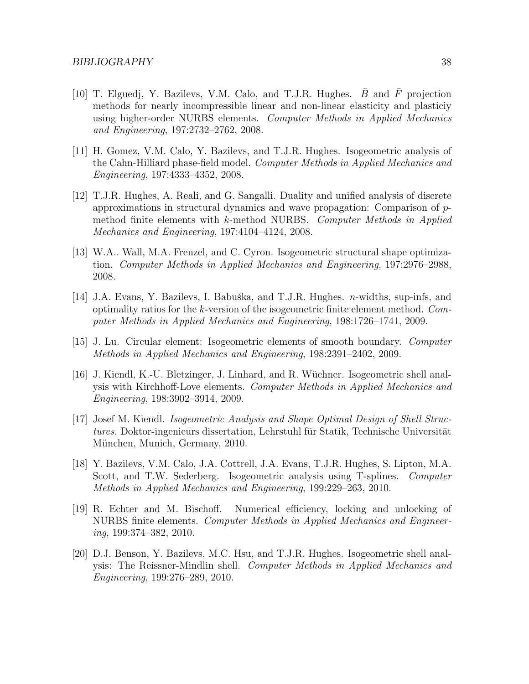- [10] T. Elguedj, Y. Bazilevs, V.M. Calo, and T.J.R. Hughes.  $\bar{B}$  and  $\bar{F}$  projection methods for nearly incompressible linear and non-linear elasticity and plasticiy using higher-order NURBS elements. Computer Methods in Applied Mechanics and Engineering, 197:2732–2762, 2008.
- [11] H. Gomez, V.M. Calo, Y. Bazilevs, and T.J.R. Hughes. Isogeometric analysis of the Cahn-Hilliard phase-field model. Computer Methods in Applied Mechanics and Engineering, 197:4333–4352, 2008.
- [12] T.J.R. Hughes, A. Reali, and G. Sangalli. Duality and unified analysis of discrete approximations in structural dynamics and wave propagation: Comparison of  $p$ method finite elements with k-method NURBS. Computer Methods in Applied Mechanics and Engineering, 197:4104–4124, 2008.
- [13] W.A.. Wall, M.A. Frenzel, and C. Cyron. Isogeometric structural shape optimization. Computer Methods in Applied Mechanics and Engineering, 197:2976–2988, 2008.
- [14] J.A. Evans, Y. Bazilevs, I. Babuška, and T.J.R. Hughes. *n*-widths, sup-infs, and optimality ratios for the k-version of the isogeometric finite element method. Computer Methods in Applied Mechanics and Engineering, 198:1726–1741, 2009.
- [15] J. Lu. Circular element: Isogeometric elements of smooth boundary. Computer Methods in Applied Mechanics and Engineering, 198:2391–2402, 2009.
- [16] J. Kiendl, K.-U. Bletzinger, J. Linhard, and R. Wüchner. Isogeometric shell analysis with Kirchhoff-Love elements. Computer Methods in Applied Mechanics and Engineering, 198:3902–3914, 2009.
- [17] Josef M. Kiendl. Isogeometric Analysis and Shape Optimal Design of Shell Structures. Doktor-ingenieurs dissertation, Lehrstuhl für Statik, Technische Universität München, Munich, Germany, 2010.
- [18] Y. Bazilevs, V.M. Calo, J.A. Cottrell, J.A. Evans, T.J.R. Hughes, S. Lipton, M.A. Scott, and T.W. Sederberg. Isogeometric analysis using T-splines. Computer Methods in Applied Mechanics and Engineering, 199:229–263, 2010.
- [19] R. Echter and M. Bischoff. Numerical efficiency, locking and unlocking of NURBS finite elements. Computer Methods in Applied Mechanics and Engineering, 199:374–382, 2010.
- [20] D.J. Benson, Y. Bazilevs, M.C. Hsu, and T.J.R. Hughes. Isogeometric shell analysis: The Reissner-Mindlin shell. Computer Methods in Applied Mechanics and Engineering, 199:276–289, 2010.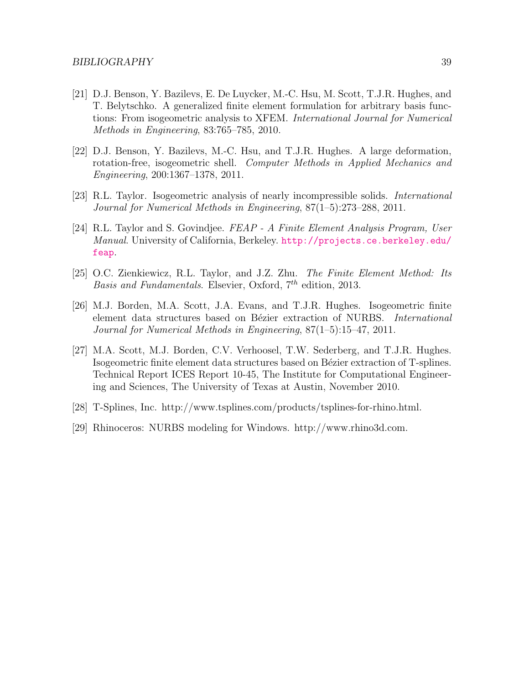- [21] D.J. Benson, Y. Bazilevs, E. De Luycker, M.-C. Hsu, M. Scott, T.J.R. Hughes, and T. Belytschko. A generalized finite element formulation for arbitrary basis functions: From isogeometric analysis to XFEM. International Journal for Numerical Methods in Engineering, 83:765–785, 2010.
- [22] D.J. Benson, Y. Bazilevs, M.-C. Hsu, and T.J.R. Hughes. A large deformation, rotation-free, isogeometric shell. Computer Methods in Applied Mechanics and Engineering, 200:1367–1378, 2011.
- <span id="page-43-0"></span>[23] R.L. Taylor. Isogeometric analysis of nearly incompressible solids. International Journal for Numerical Methods in Engineering, 87(1–5):273–288, 2011.
- <span id="page-43-1"></span>[24] R.L. Taylor and S. Govindjee. FEAP - A Finite Element Analysis Program, User Manual. University of California, Berkeley. [http://projects.ce.berkeley.edu/](http://projects.ce.berkeley.edu/feap) [feap](http://projects.ce.berkeley.edu/feap).
- <span id="page-43-2"></span>[25] O.C. Zienkiewicz, R.L. Taylor, and J.Z. Zhu. The Finite Element Method: Its Basis and Fundamentals. Elsevier, Oxford,  $7<sup>th</sup>$  edition, 2013.
- <span id="page-43-3"></span>[26] M.J. Borden, M.A. Scott, J.A. Evans, and T.J.R. Hughes. Isogeometric finite element data structures based on Bézier extraction of NURBS. International Journal for Numerical Methods in Engineering, 87(1–5):15–47, 2011.
- <span id="page-43-4"></span>[27] M.A. Scott, M.J. Borden, C.V. Verhoosel, T.W. Sederberg, and T.J.R. Hughes. Isogeometric finite element data structures based on Bézier extraction of T-splines. Technical Report ICES Report 10-45, The Institute for Computational Engineering and Sciences, The University of Texas at Austin, November 2010.
- <span id="page-43-5"></span>[28] T-Splines, Inc. http://www.tsplines.com/products/tsplines-for-rhino.html.
- <span id="page-43-6"></span>[29] Rhinoceros: NURBS modeling for Windows. http://www.rhino3d.com.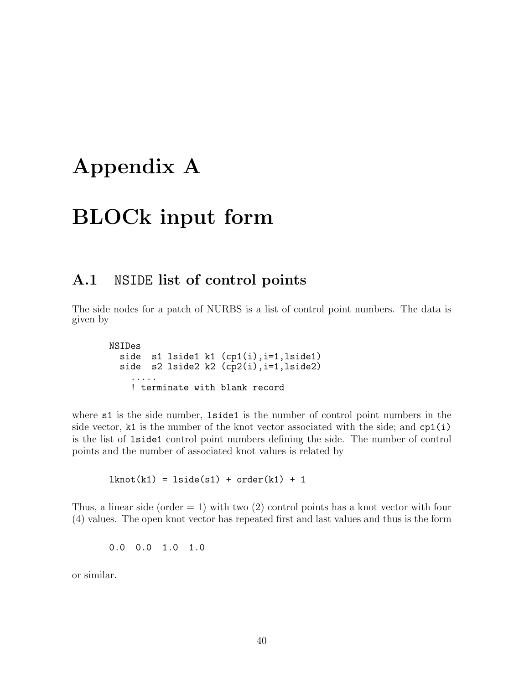# <span id="page-44-0"></span>Appendix A

# BLOCk input form

## <span id="page-44-1"></span>A.1 NSIDE list of control points

The side nodes for a patch of NURBS is a list of control point numbers. The data is given by

```
NSIDes
  side s1 lside1 k1 (cp1(i), i=1, lside1)
  side s2 lside2 k2 (cp2(i), i=1, lside2)
    .....
    ! terminate with blank record
```
where  $s1$  is the side number, **lastel** is the number of control point numbers in the side vector, k1 is the number of the knot vector associated with the side; and  $cp1(i)$ is the list of lside1 control point numbers defining the side. The number of control points and the number of associated knot values is related by

 $lknot(k1) = lside(s1) + order(k1) + 1$ 

Thus, a linear side (order  $= 1$ ) with two (2) control points has a knot vector with four (4) values. The open knot vector has repeated first and last values and thus is the form

0.0 0.0 1.0 1.0

or similar.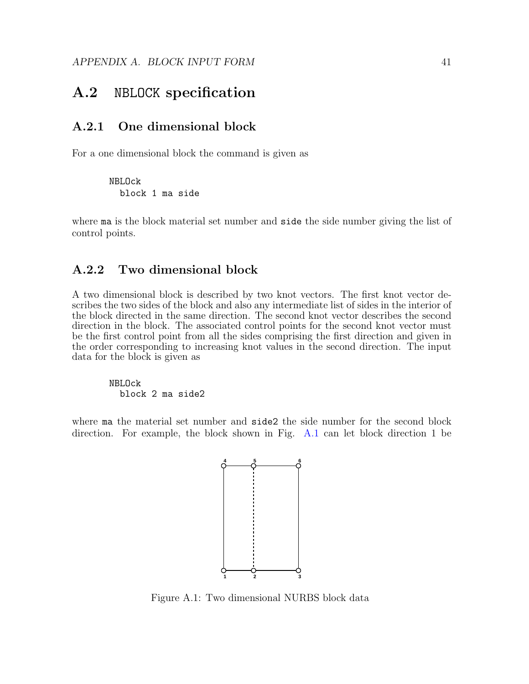## <span id="page-45-0"></span>A.2 NBLOCK specification

#### <span id="page-45-1"></span>A.2.1 One dimensional block

For a one dimensional block the command is given as

NBLOck block 1 ma side

where ma is the block material set number and side the side number giving the list of control points.

### <span id="page-45-2"></span>A.2.2 Two dimensional block

A two dimensional block is described by two knot vectors. The first knot vector describes the two sides of the block and also any intermediate list of sides in the interior of the block directed in the same direction. The second knot vector describes the second direction in the block. The associated control points for the second knot vector must be the first control point from all the sides comprising the first direction and given in the order corresponding to increasing knot values in the second direction. The input data for the block is given as

NBLOck block 2 ma side2

where ma the material set number and side2 the side number for the second block direction. For example, the block shown in Fig. [A.1](#page-45-3) can let block direction 1 be

![](_page_45_Figure_10.jpeg)

<span id="page-45-3"></span>Figure A.1: Two dimensional NURBS block data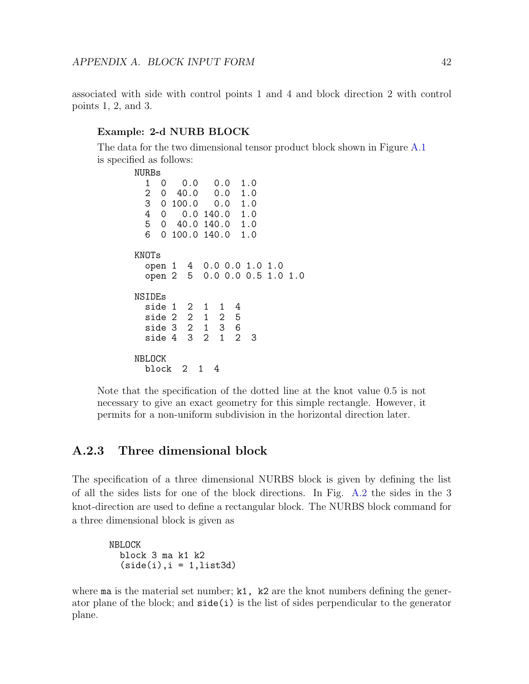associated with side with control points 1 and 4 and block direction 2 with control points 1, 2, and 3.

#### Example: 2-d NURB BLOCK

The data for the two dimensional tensor product block shown in Figure [A.1](#page-45-3) is specified as follows:

```
NURBs<br>1 0
  1 0 0.0 0.0 1.0
  2 0 40.0 0.0 1.0
  \begin{array}{cccc} 3 & 0 & 100.0 \\ 4 & 0 & 0.0 \end{array}0 0.0 140.0 1.0<br>0 40.0 140.0 1.0
  5 \t0 \t40.0 \t140.06 0 100.0 140.0 1.0
KNOTs
  open 1 4 0.0 0.0 1.0 1.0<br>open 2 5 0.0 0.0 0.5 1.0
                  0.0 0.0 0.5 1.0 1.0
NSIDEs
  side 1 2 1 1 4
  side 2 2 1 2 5<br>side 3 2 1 3 6
  side 3 2 1 3 6<br>side 4 3 2 1 2
  side 4 3 2 1 2 3
NBLOCK
  block 2 1 4
```
Note that the specification of the dotted line at the knot value 0.5 is not necessary to give an exact geometry for this simple rectangle. However, it permits for a non-uniform subdivision in the horizontal direction later.

### <span id="page-46-0"></span>A.2.3 Three dimensional block

The specification of a three dimensional NURBS block is given by defining the list of all the sides lists for one of the block directions. In Fig. [A.2](#page-47-0) the sides in the 3 knot-direction are used to define a rectangular block. The NURBS block command for a three dimensional block is given as

```
NBLOCK
  block 3 ma k1 k2
  (side(i), i = 1, list3d)
```
where ma is the material set number;  $k1$ ,  $k2$  are the knot numbers defining the generator plane of the block; and  $side(i)$  is the list of sides perpendicular to the generator plane.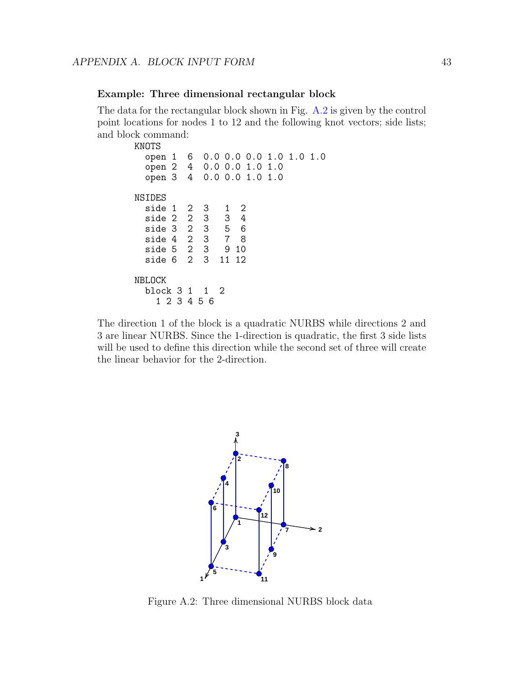#### Example: Three dimensional rectangular block

The data for the rectangular block shown in Fig. [A.2](#page-47-0) is given by the control point locations for nodes 1 to 12 and the following knot vectors; side lists; and block command:

| KNOTS                    |             |    |                         |  |  |
|--------------------------|-------------|----|-------------------------|--|--|
| open 1 6                 |             |    | 0.0 0.0 0.0 1.0 1.0 1.0 |  |  |
| open 2 4 0.0 0.0 1.0 1.0 |             |    |                         |  |  |
| open 3 4 0.0 0.0 1.0 1.0 |             |    |                         |  |  |
| NSIDES                   |             |    |                         |  |  |
| side 1 2 3               |             |    | 1 2                     |  |  |
| side 2 2 3               |             |    | 3 <sub>4</sub>          |  |  |
| side 3 2 3               |             |    | 5 6                     |  |  |
| side 4 2 3               |             |    | 7 8                     |  |  |
| side 5 2 3               |             |    | 910                     |  |  |
| side 6                   | $2 \quad 3$ | 11 | 12                      |  |  |
| NBLOCK                   |             |    |                         |  |  |
| block 3 1 1 2            |             |    |                         |  |  |
| 1 2 3 4 5 6              |             |    |                         |  |  |

The direction 1 of the block is a quadratic NURBS while directions 2 and 3 are linear NURBS. Since the 1-direction is quadratic, the first 3 side lists will be used to define this direction while the second set of three will create the linear behavior for the 2-direction.

![](_page_47_Figure_5.jpeg)

<span id="page-47-0"></span>Figure A.2: Three dimensional NURBS block data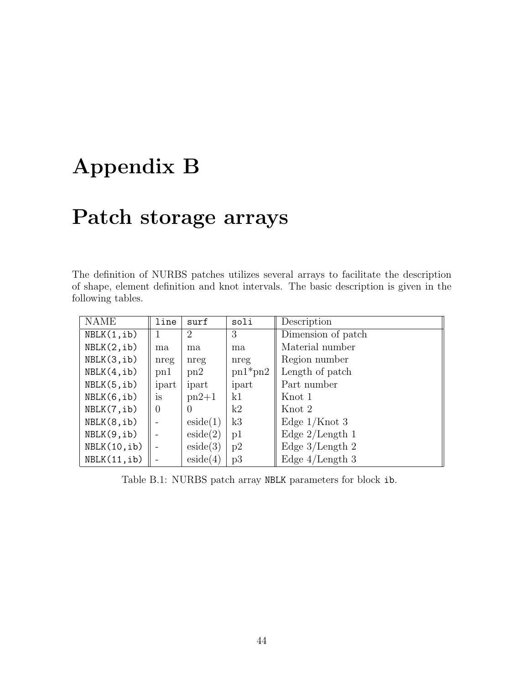# <span id="page-48-0"></span>Appendix B

# Patch storage arrays

The definition of NURBS patches utilizes several arrays to facilitate the description of shape, element definition and knot intervals. The basic description is given in the following tables.

| <b>NAME</b>  | line     | surf      | soli      | Description        |
|--------------|----------|-----------|-----------|--------------------|
| NBLK(1, ib)  | 1        | 2         | 3         | Dimension of patch |
| NBLK(2, ib)  | ma       | ma        | ma        | Material number    |
| NBLK(3, ib)  | nreg     | nreg      | nreg      | Region number      |
| NBLK(4, ib)  | $p_{n1}$ | $\rm pn2$ | $pn1*pn2$ | Length of patch    |
| NBLK(5, ib)  | ipart    | ipart     | ipart     | Part number        |
| NBLK(6, ib)  | is       | $pn2+1$   | k1        | Knot 1             |
| NBLK(7, ib)  | $\theta$ | $\theta$  | k2        | Knot 2             |
| NBLK(8, ib)  |          | eside(1)  | k3        | Edge $1$ /Knot 3   |
| NBLK(9, ib)  |          | eside(2)  | p1        | Edge $2$ /Length 1 |
| NBLK(10, ib) |          | eside(3)  | p2        | Edge $3$ /Length 2 |
| NBLK(11, ib) |          | eside(4)  | p3        | Edge $4/Length\ 3$ |

<span id="page-48-1"></span>Table B.1: NURBS patch array NBLK parameters for block ib.